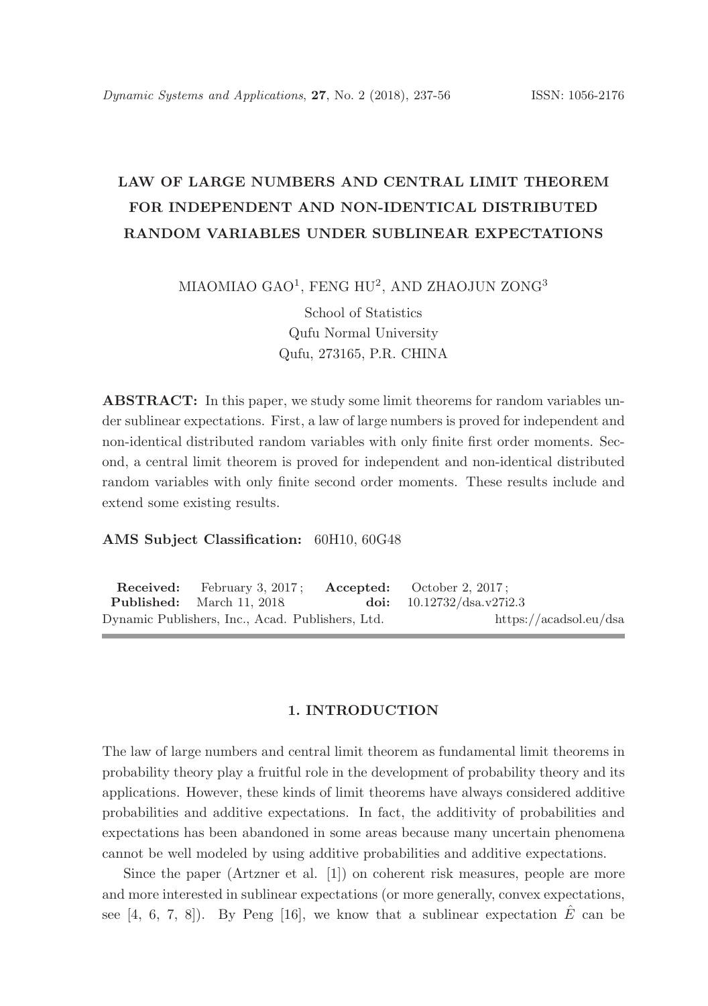# LAW OF LARGE NUMBERS AND CENTRAL LIMIT THEOREM FOR INDEPENDENT AND NON-IDENTICAL DISTRIBUTED RANDOM VARIABLES UNDER SUBLINEAR EXPECTATIONS

MIAOMIAO GAO $^1$ , FENG HU $^2$ , AND ZHAOJUN ZONG $^3$ 

School of Statistics Qufu Normal University Qufu, 273165, P.R. CHINA

ABSTRACT: In this paper, we study some limit theorems for random variables under sublinear expectations. First, a law of large numbers is proved for independent and non-identical distributed random variables with only finite first order moments. Second, a central limit theorem is proved for independent and non-identical distributed random variables with only finite second order moments. These results include and extend some existing results.

## AMS Subject Classification: 60H10, 60G48

Received: February 3, 2017; Accepted: October 2, 2017; Published: March 11, 2018. doi: 10.12732/dsa.v27i2.3 Dynamic Publishers, Inc., Acad. Publishers, Ltd. https://acadsol.eu/dsa

### 1. INTRODUCTION

The law of large numbers and central limit theorem as fundamental limit theorems in probability theory play a fruitful role in the development of probability theory and its applications. However, these kinds of limit theorems have always considered additive probabilities and additive expectations. In fact, the additivity of probabilities and expectations has been abandoned in some areas because many uncertain phenomena cannot be well modeled by using additive probabilities and additive expectations.

Since the paper (Artzner et al. [1]) on coherent risk measures, people are more and more interested in sublinear expectations (or more generally, convex expectations, see [4, 6, 7, 8]). By Peng [16], we know that a sublinear expectation  $\hat{E}$  can be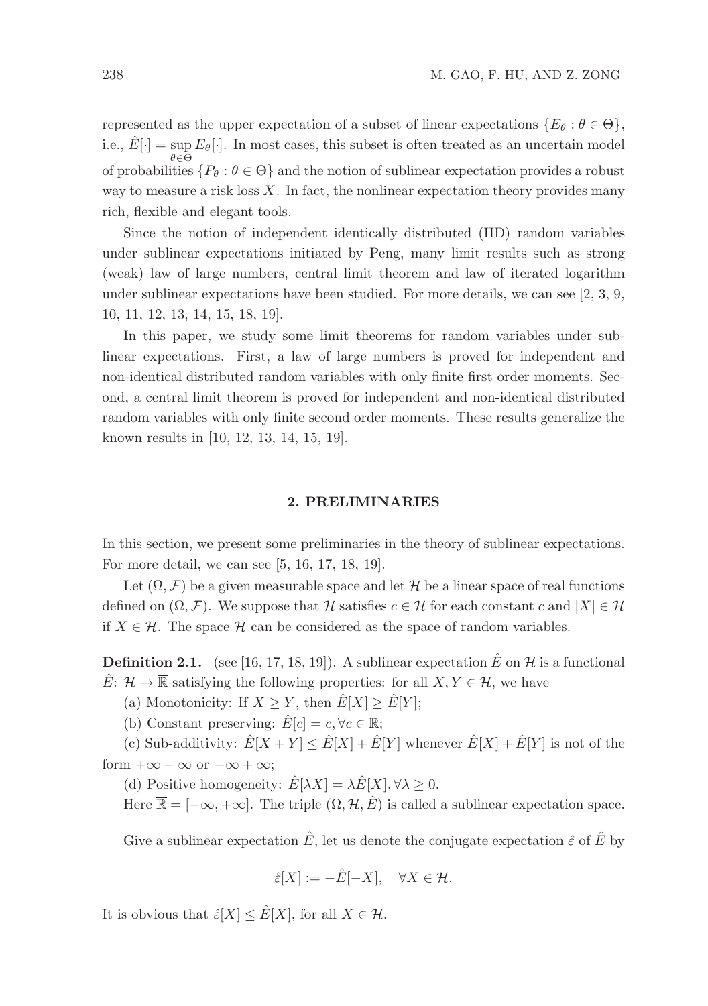represented as the upper expectation of a subset of linear expectations  $\{E_{\theta}: \theta \in \Theta\}$ , i.e.,  $\hat{E}[\cdot] = \sup_{\theta \in \Theta} E_{\theta}[\cdot]$ . In most cases, this subset is often treated as an uncertain model  $θ ∈ Θ$ <br>of probabilities  ${P<sub>θ</sub> : θ ∈ Θ}$  and the notion of sublinear expectation provides a robust way to measure a risk loss  $X$ . In fact, the nonlinear expectation theory provides many rich, flexible and elegant tools.

Since the notion of independent identically distributed (IID) random variables under sublinear expectations initiated by Peng, many limit results such as strong (weak) law of large numbers, central limit theorem and law of iterated logarithm under sublinear expectations have been studied. For more details, we can see [2, 3, 9, 10, 11, 12, 13, 14, 15, 18, 19].

In this paper, we study some limit theorems for random variables under sublinear expectations. First, a law of large numbers is proved for independent and non-identical distributed random variables with only finite first order moments. Second, a central limit theorem is proved for independent and non-identical distributed random variables with only finite second order moments. These results generalize the known results in [10, 12, 13, 14, 15, 19].

# 2. PRELIMINARIES

In this section, we present some preliminaries in the theory of sublinear expectations. For more detail, we can see [5, 16, 17, 18, 19].

Let  $(\Omega, \mathcal{F})$  be a given measurable space and let H be a linear space of real functions defined on  $(\Omega, \mathcal{F})$ . We suppose that H satisfies  $c \in \mathcal{H}$  for each constant c and  $|X| \in \mathcal{H}$ if  $X \in \mathcal{H}$ . The space  $\mathcal{H}$  can be considered as the space of random variables.

**Definition 2.1.** (see [16, 17, 18, 19]). A sublinear expectation  $\hat{E}$  on  $\mathcal{H}$  is a functional  $\hat{E}: \mathcal{H} \to \overline{\mathbb{R}}$  satisfying the following properties: for all  $X, Y \in \mathcal{H}$ , we have

(a) Monotonicity: If  $X \geq Y$ , then  $E[X] \geq E[Y]$ ;

(b) Constant preserving:  $\hat{E}[c] = c, \forall c \in \mathbb{R}$ ;

(c) Sub-additivity:  $\hat{E}[X+Y] \leq \hat{E}[X] + \hat{E}[Y]$  whenever  $\hat{E}[X] + \hat{E}[Y]$  is not of the form  $+\infty - \infty$  or  $-\infty + \infty$ ;

(d) Positive homogeneity:  $\hat{E}[\lambda X] = \lambda \hat{E}[X], \forall \lambda \geq 0$ .

Here  $\overline{\mathbb{R}} = [-\infty, +\infty]$ . The triple  $(\Omega, \mathcal{H}, \hat{E})$  is called a sublinear expectation space.

Give a sublinear expectation  $\hat{E}$ , let us denote the conjugate expectation  $\hat{\varepsilon}$  of  $\hat{E}$  by

$$
\hat{\varepsilon}[X] := -\hat{E}[-X], \quad \forall X \in \mathcal{H}.
$$

It is obvious that  $\hat{\varepsilon}[X] \leq \hat{E}[X]$ , for all  $X \in \mathcal{H}$ .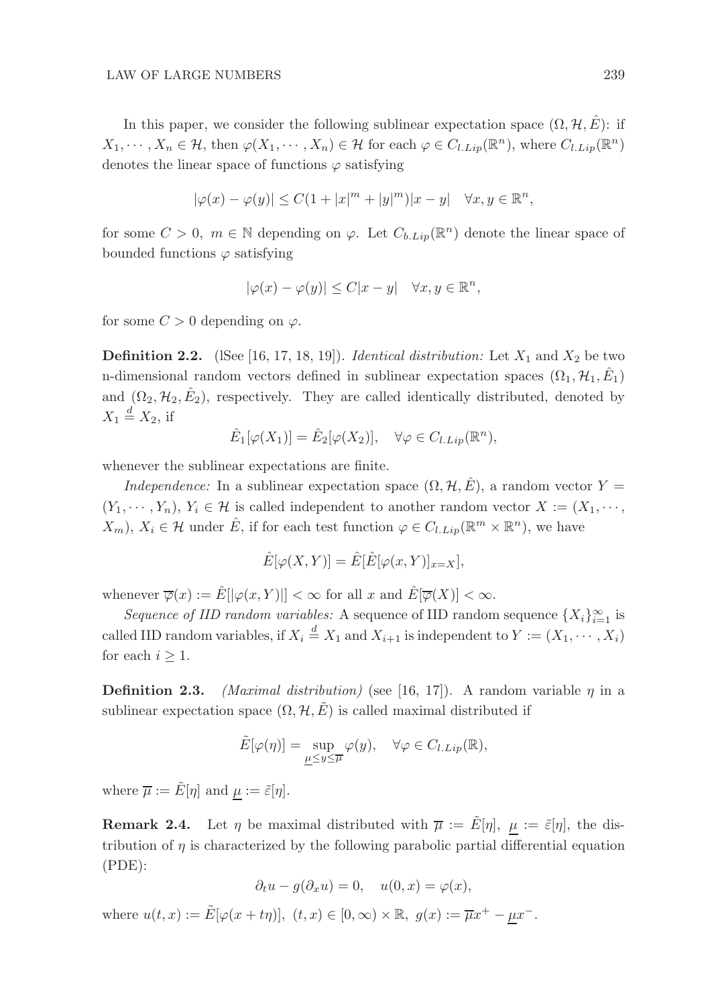In this paper, we consider the following sublinear expectation space  $(\Omega, \mathcal{H}, \hat{E})$ : if  $X_1, \dots, X_n \in \mathcal{H}$ , then  $\varphi(X_1, \dots, X_n) \in \mathcal{H}$  for each  $\varphi \in C_{l.Lip}(\mathbb{R}^n)$ , where  $C_{l.Lip}(\mathbb{R}^n)$ denotes the linear space of functions  $\varphi$  satisfying

$$
|\varphi(x) - \varphi(y)| \le C(1 + |x|^m + |y|^m)|x - y| \quad \forall x, y \in \mathbb{R}^n,
$$

for some  $C > 0$ ,  $m \in \mathbb{N}$  depending on  $\varphi$ . Let  $C_{b.Lip}(\mathbb{R}^n)$  denote the linear space of bounded functions  $\varphi$  satisfying

$$
|\varphi(x) - \varphi(y)| \le C|x - y| \quad \forall x, y \in \mathbb{R}^n,
$$

for some  $C > 0$  depending on  $\varphi$ .

**Definition 2.2.** (ISee [16, 17, 18, 19]). *Identical distribution:* Let  $X_1$  and  $X_2$  be two n-dimensional random vectors defined in sublinear expectation spaces  $(\Omega_1, \mathcal{H}_1, \hat{E}_1)$ and  $(\Omega_2, \mathcal{H}_2, \hat{E}_2)$ , respectively. They are called identically distributed, denoted by  $X_1 \stackrel{d}{=} X_2$ , if

$$
\hat{E}_1[\varphi(X_1)] = \hat{E}_2[\varphi(X_2)], \quad \forall \varphi \in C_{l.Lip}(\mathbb{R}^n),
$$

whenever the sublinear expectations are finite.

*Independence:* In a sublinear expectation space  $(\Omega, \mathcal{H}, \hat{E})$ , a random vector  $Y =$  $(Y_1, \dots, Y_n)$ ,  $Y_i \in \mathcal{H}$  is called independent to another random vector  $X := (X_1, \dots, X_n)$  $(X_m)$ ,  $X_i \in \mathcal{H}$  under  $\hat{E}$ , if for each test function  $\varphi \in C_{l.Lip}(\mathbb{R}^m \times \mathbb{R}^n)$ , we have

$$
\hat{E}[\varphi(X,Y)] = \hat{E}[\hat{E}[\varphi(x,Y)]_{x=X}],
$$

whenever  $\overline{\varphi}(x) := \hat{E}[|\varphi(x, Y)|] < \infty$  for all x and  $\hat{E}[\overline{\varphi}(X)] < \infty$ .

*Sequence of IID random variables:* A sequence of IID random sequence  $\{X_i\}_{i=1}^{\infty}$  is called IID random variables, if  $X_i \stackrel{d}{=} X_1$  and  $X_{i+1}$  is independent to  $Y := (X_1, \dots, X_i)$ for each  $i \geq 1$ .

**Definition 2.3.** *(Maximal distribution)* (see [16, 17]). A random variable  $\eta$  in a sublinear expectation space  $(\Omega, \mathcal{H}, \tilde{E})$  is called maximal distributed if

$$
\tilde{E}[\varphi(\eta)] = \sup_{\underline{\mu} \leq y \leq \overline{\mu}} \varphi(y), \quad \forall \varphi \in C_{l.Lip}(\mathbb{R}),
$$

where  $\overline{\mu} := \tilde{E}[\eta]$  and  $\mu := \tilde{\varepsilon}[\eta]$ .

**Remark 2.4.** Let  $\eta$  be maximal distributed with  $\overline{\mu} := \tilde{E}[\eta], \ \mu := \tilde{\varepsilon}[\eta]$ , the distribution of  $\eta$  is characterized by the following parabolic partial differential equation (PDE):

$$
\partial_t u - g(\partial_x u) = 0, \quad u(0, x) = \varphi(x),
$$

where  $u(t, x) := \tilde{E}[\varphi(x + t\eta)], (t, x) \in [0, \infty) \times \mathbb{R}, g(x) := \overline{\mu}x^{+} - \underline{\mu}x^{-}$ .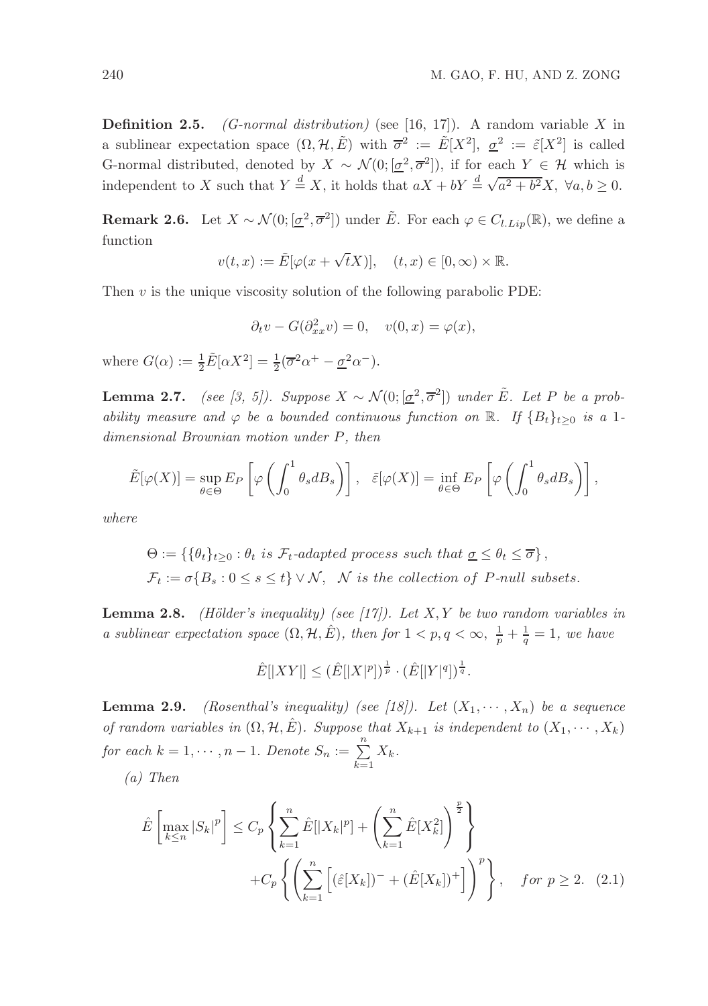Definition 2.5. *(G-normal distribution)* (see [16, 17]). A random variable X in a sublinear expectation space  $(\Omega, \mathcal{H}, \tilde{E})$  with  $\overline{\sigma}^2 := \tilde{E}[X^2], \underline{\sigma}^2 := \tilde{\varepsilon}[X^2]$  is called G-normal distributed, denoted by  $X \sim \mathcal{N}(0; [\underline{\sigma}^2, \overline{\sigma}^2])$ , if for each  $Y \in \mathcal{H}$  which is independent to X such that  $Y \stackrel{d}{=} X$ , it holds that  $aX + bY \stackrel{d}{=} \sqrt{a^2 + b^2}X$ ,  $\forall a, b \ge 0$ .

**Remark 2.6.** Let  $X \sim \mathcal{N}(0; [\underline{\sigma}^2, \overline{\sigma}^2])$  under  $\tilde{E}$ . For each  $\varphi \in C_{l.Lip}(\mathbb{R})$ , we define a function

$$
v(t,x) := \tilde{E}[\varphi(x + \sqrt{t}X)], \quad (t,x) \in [0,\infty) \times \mathbb{R}.
$$

Then  $v$  is the unique viscosity solution of the following parabolic PDE:

$$
\partial_t v - G(\partial_{xx}^2 v) = 0, \quad v(0, x) = \varphi(x),
$$

where  $G(\alpha) := \frac{1}{2} \tilde{E}[\alpha X^2] = \frac{1}{2} (\overline{\sigma}^2 \alpha^+ - \underline{\sigma}^2 \alpha^-).$ 

**Lemma 2.7.** *(see [3, 5]). Suppose*  $X \sim \mathcal{N}(0; [\underline{\sigma}^2, \overline{\sigma}^2])$  *under*  $\tilde{E}$ *. Let*  $P$  *be a probability measure and*  $\varphi$  *be a bounded continuous function on* R. If  ${B_t}_{t\geq0}$  *is a* 1*dimensional Brownian motion under* P*, then*

$$
\tilde{E}[\varphi(X)] = \sup_{\theta \in \Theta} E_P \left[ \varphi \left( \int_0^1 \theta_s dB_s \right) \right], \quad \tilde{\varepsilon}[\varphi(X)] = \inf_{\theta \in \Theta} E_P \left[ \varphi \left( \int_0^1 \theta_s dB_s \right) \right],
$$

*where*

$$
\Theta := \{ \{ \theta_t \}_{t \geq 0} : \theta_t \text{ is } \mathcal{F}_t\text{-adapted process such that } \underline{\sigma} \leq \theta_t \leq \overline{\sigma} \},
$$
  

$$
\mathcal{F}_t := \sigma \{ B_s : 0 \leq s \leq t \} \vee \mathcal{N}, \quad \mathcal{N} \text{ is the collection of } P\text{-null subsets.}
$$

Lemma 2.8. *(H¨older's inequality) (see [17]). Let* X, Y *be two random variables in a sublinear expectation space*  $(\Omega, \mathcal{H}, \hat{E})$ *, then for*  $1 < p, q < \infty$ ,  $\frac{1}{p} + \frac{1}{q} = 1$ *, we have* 

$$
\hat{E}[|XY|] \leq (\hat{E}[|X|^p])^{\frac{1}{p}} \cdot (\hat{E}[|Y|^q])^{\frac{1}{q}}.
$$

**Lemma 2.9.** *(Rosenthal's inequality) (see [18]). Let*  $(X_1, \dots, X_n)$  *be a sequence of random variables in*  $(\Omega, \mathcal{H}, \hat{E})$ *. Suppose that*  $X_{k+1}$  *is independent to*  $(X_1, \dots, X_k)$ *for each*  $k = 1, \dots, n - 1$ . *Denote*  $S_n := \sum_{k=1}^{n} X_k$ . *(a) Then*

$$
a) \quad \text{then}
$$

$$
\hat{E}\left[\max_{k\leq n}|S_k|^p\right] \leq C_p \left\{ \sum_{k=1}^n \hat{E}[|X_k|^p] + \left(\sum_{k=1}^n \hat{E}[X_k^2]\right)^{\frac{p}{2}} \right\}
$$
\n
$$
+ C_p \left\{ \left(\sum_{k=1}^n \left[ (\hat{\varepsilon}[X_k])^- + (\hat{E}[X_k])^+ \right] \right)^p \right\}, \quad \text{for } p \geq 2. \tag{2.1}
$$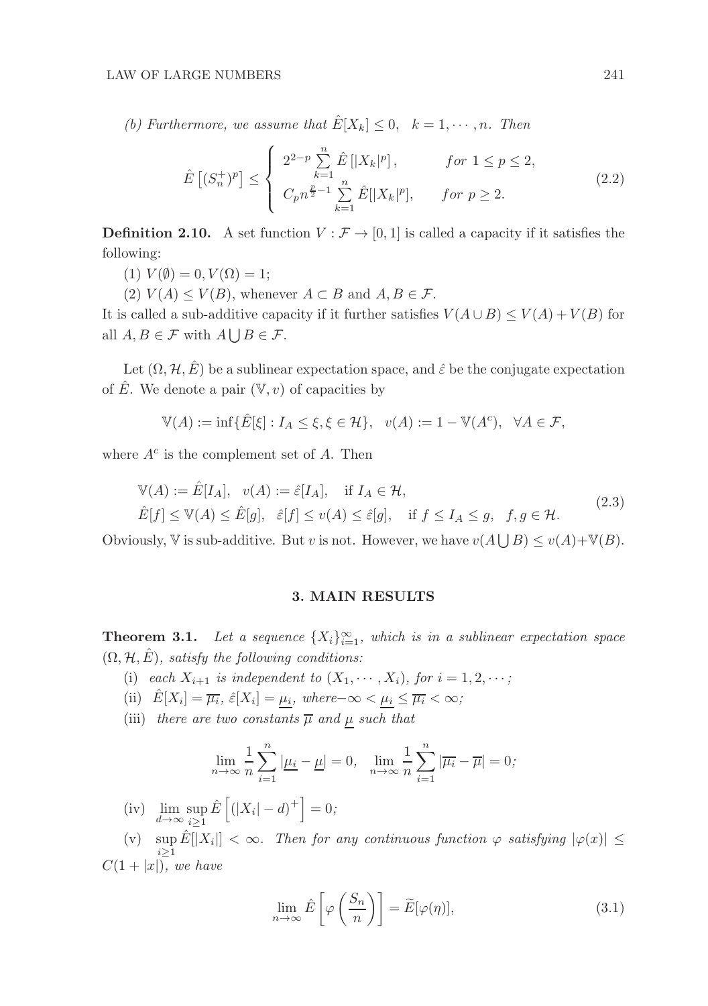*(b) Furthermore, we assume that*  $\hat{E}[X_k] \leq 0$ ,  $k = 1, \dots, n$ . Then

$$
\hat{E}\left[ (S_n^+)^p \right] \leq \begin{cases} 2^{2-p} \sum_{k=1}^n \hat{E}\left[ |X_k|^p \right], & \text{for } 1 \leq p \leq 2, \\ C_p n^{\frac{p}{2}-1} \sum_{k=1}^n \hat{E}[|X_k|^p], & \text{for } p \geq 2. \end{cases}
$$
\n(2.2)

**Definition 2.10.** A set function  $V : \mathcal{F} \to [0, 1]$  is called a capacity if it satisfies the following:

- (1)  $V(\emptyset) = 0, V(\Omega) = 1;$
- (2)  $V(A) \leq V(B)$ , whenever  $A \subset B$  and  $A, B \in \mathcal{F}$ .

It is called a sub-additive capacity if it further satisfies  $V(A \cup B) \le V(A) + V(B)$  for all  $A, B \in \mathcal{F}$  with  $A \bigcup B \in \mathcal{F}$ .

Let  $(\Omega, \mathcal{H}, \hat{E})$  be a sublinear expectation space, and  $\hat{\varepsilon}$  be the conjugate expectation of  $\overline{E}$ . We denote a pair  $(\mathbb{V}, v)$  of capacities by

$$
\mathbb{V}(A) := \inf \{ \hat{E}[\xi] : I_A \le \xi, \xi \in \mathcal{H} \}, \quad v(A) := 1 - \mathbb{V}(A^c), \quad \forall A \in \mathcal{F},
$$

where  $A^c$  is the complement set of A. Then

$$
\mathbb{V}(A) := \hat{E}[I_A], \quad v(A) := \hat{\varepsilon}[I_A], \quad \text{if } I_A \in \mathcal{H},
$$
\n
$$
\hat{E}[f] \le \mathbb{V}(A) \le \hat{E}[g], \quad \hat{\varepsilon}[f] \le v(A) \le \hat{\varepsilon}[g], \quad \text{if } f \le I_A \le g, \quad f, g \in \mathcal{H}.
$$
\n
$$
(2.3)
$$

Obviously,  $\mathbb V$  is sub-additive. But v is not. However, we have  $v(A\bigcup B)\leq v(A)+\mathbb V(B)$ .

### 3. MAIN RESULTS

**Theorem 3.1.** Let a sequence  $\{X_i\}_{i=1}^{\infty}$ , which is in a sublinear expectation space  $(\Omega, \mathcal{H}, \hat{E})$ *, satisfy the following conditions:* 

- (i) *each*  $X_{i+1}$  *is independent to*  $(X_1, \dots, X_i)$ *, for*  $i = 1, 2, \dots;$
- (ii)  $\hat{E}[X_i] = \overline{\mu_i}$ ,  $\hat{\varepsilon}[X_i] = \underline{\mu_i}$ , where- $\infty < \underline{\mu_i} \le \overline{\mu_i} < \infty$ ;
- (iii) *there are two constants*  $\overline{\mu}$  *and*  $\mu$  *such that*

$$
\lim_{n \to \infty} \frac{1}{n} \sum_{i=1}^{n} |\mu_i - \mu| = 0, \quad \lim_{n \to \infty} \frac{1}{n} \sum_{i=1}^{n} |\overline{\mu_i} - \overline{\mu}| = 0;
$$

- (iv)  $\lim_{d \to \infty} \sup_{i \ge 1} \hat{E} \left[ (|X_i| d)^+ \right] = 0;$
- (v)  $\sup_{x\to a} \hat{E}[|X_i|] < \infty$ . Then for any continuous function  $\varphi$  satisfying  $|\varphi(x)| \leq$  $i>1$  $C(1+|x|)$ *, we have*

$$
\lim_{n \to \infty} \hat{E}\left[\varphi\left(\frac{S_n}{n}\right)\right] = \widetilde{E}[\varphi(\eta)],\tag{3.1}
$$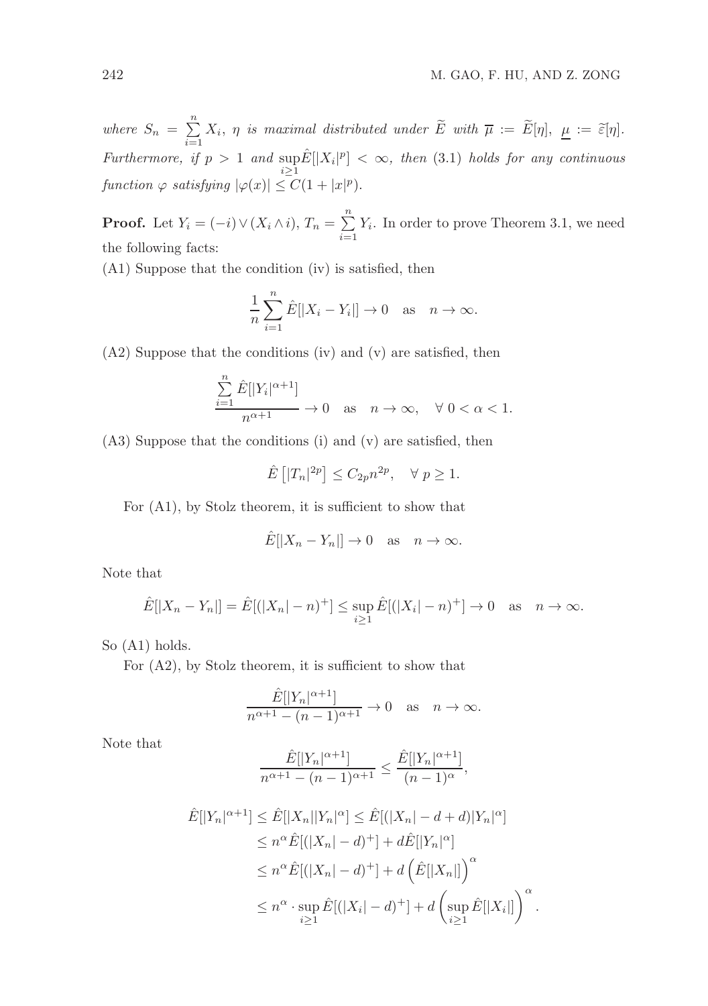where  $S_n = \sum_{n=1}^n$  $\sum_{i=1} X_i$ ,  $\eta$  is maximal distributed under E with  $\overline{\mu} := E[\eta], \underline{\mu} := \widetilde{\varepsilon}[\eta].$ *Furthermore, if*  $p > 1$  *and*  $\sup_{i \geq 1} \hat{E} [|X_i|^p] < \infty$ , *then* (3.1) *holds for any continuous function*  $\varphi$  *satisfying*  $|\varphi(x)| \leq C(1+|x|^p)$ .

**Proof.** Let  $Y_i = (-i) \vee (X_i \wedge i), T_n = \sum_{i=1}^n$  $\sum_{i=1} Y_i$ . In order to prove Theorem 3.1, we need the following facts:

(A1) Suppose that the condition (iv) is satisfied, then

$$
\frac{1}{n}\sum_{i=1}^{n}\hat{E}[|X_i - Y_i|] \to 0 \quad \text{as} \quad n \to \infty.
$$

(A2) Suppose that the conditions (iv) and (v) are satisfied, then

$$
\frac{\sum_{i=1}^{n} \hat{E}[|Y_i|^{\alpha+1}]}{n^{\alpha+1}} \to 0 \quad \text{as} \quad n \to \infty, \quad \forall \ 0 < \alpha < 1.
$$

(A3) Suppose that the conditions (i) and (v) are satisfied, then

$$
\hat{E}\left[|T_n|^{2p}\right] \le C_{2p} n^{2p}, \quad \forall \ p \ge 1.
$$

For (A1), by Stolz theorem, it is sufficient to show that

$$
\hat{E}[|X_n - Y_n|] \to 0 \quad \text{as} \quad n \to \infty.
$$

Note that

$$
\hat{E}[|X_n - Y_n|] = \hat{E}[ (|X_n| - n)^+] \le \sup_{i \ge 1} \hat{E}[ (|X_i| - n)^+] \to 0 \text{ as } n \to \infty.
$$

So (A1) holds.

For (A2), by Stolz theorem, it is sufficient to show that

$$
\frac{\hat{E}[|Y_n|^{\alpha+1}]}{n^{\alpha+1} - (n-1)^{\alpha+1}} \to 0 \quad \text{as} \quad n \to \infty.
$$

Note that

$$
\frac{\hat{E}[|Y_n|^{\alpha+1}]}{n^{\alpha+1} - (n-1)^{\alpha+1}} \le \frac{\hat{E}[|Y_n|^{\alpha+1}]}{(n-1)^{\alpha}},
$$

$$
\hat{E}[|Y_n|^{\alpha+1}] \leq \hat{E}[|X_n||Y_n|^{\alpha}] \leq \hat{E}[(|X_n| - d + d)|Y_n|^{\alpha}]
$$
  
\n
$$
\leq n^{\alpha}\hat{E}[(|X_n| - d)^+] + d\hat{E}[|Y_n|^{\alpha}]
$$
  
\n
$$
\leq n^{\alpha}\hat{E}[(|X_n| - d)^+] + d\left(\hat{E}[|X_n|]\right)^{\alpha}
$$
  
\n
$$
\leq n^{\alpha} \cdot \sup_{i \geq 1} \hat{E}[(|X_i| - d)^+] + d\left(\sup_{i \geq 1} \hat{E}[|X_i|]\right)^{\alpha}.
$$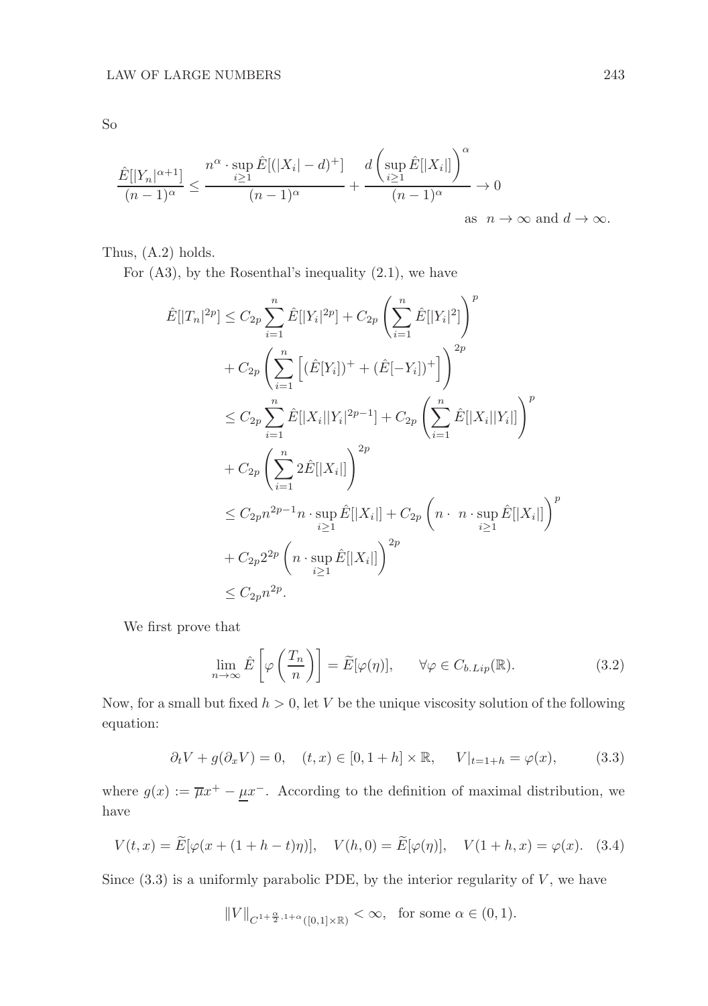So

$$
\frac{\hat{E}[|Y_n|^{\alpha+1}]}{(n-1)^{\alpha}} \le \frac{n^{\alpha} \cdot \sup_{i \ge 1} \hat{E}[(|X_i| - d)^+] }{(n-1)^{\alpha}} + \frac{d\left(\sup_{i \ge 1} \hat{E}[|X_i|]\right)^{\alpha}}{(n-1)^{\alpha}} \to 0
$$
  
as  $n \to \infty$  and  $d \to \infty$ .

Thus, (A.2) holds.

For  $(A3)$ , by the Rosenthal's inequality  $(2.1)$ , we have

$$
\hat{E}[|T_n|^{2p}] \leq C_{2p} \sum_{i=1}^n \hat{E}[|Y_i|^{2p}] + C_{2p} \left( \sum_{i=1}^n \hat{E}[|Y_i|^2] \right)^p \n+ C_{2p} \left( \sum_{i=1}^n \left[ (\hat{E}[Y_i])^+ + (\hat{E}[-Y_i])^+ \right] \right)^{2p} \n\leq C_{2p} \sum_{i=1}^n \hat{E}[|X_i||Y_i|^{2p-1}] + C_{2p} \left( \sum_{i=1}^n \hat{E}[|X_i||Y_i|] \right)^p \n+ C_{2p} \left( \sum_{i=1}^n 2\hat{E}[|X_i|] \right)^{2p} \n\leq C_{2p} n^{2p-1} n \cdot \sup_{i \geq 1} \hat{E}[|X_i|] + C_{2p} \left( n \cdot n \cdot \sup_{i \geq 1} \hat{E}[|X_i|] \right)^p \n+ C_{2p} 2^{2p} \left( n \cdot \sup_{i \geq 1} \hat{E}[|X_i|] \right)^{2p} \n\leq C_{2p} n^{2p}.
$$

We first prove that

$$
\lim_{n \to \infty} \hat{E}\left[\varphi\left(\frac{T_n}{n}\right)\right] = \widetilde{E}[\varphi(\eta)], \qquad \forall \varphi \in C_{b.Lip}(\mathbb{R}). \tag{3.2}
$$

Now, for a small but fixed  $h > 0$ , let V be the unique viscosity solution of the following equation:

$$
\partial_t V + g(\partial_x V) = 0
$$
,  $(t, x) \in [0, 1 + h] \times \mathbb{R}$ ,  $V|_{t=1+h} = \varphi(x)$ , (3.3)

where  $g(x) := \overline{\mu}x^{+} - \underline{\mu}x^{-}$ . According to the definition of maximal distribution, we have

$$
V(t, x) = \tilde{E}[\varphi(x + (1 + h - t)\eta)], \quad V(h, 0) = \tilde{E}[\varphi(\eta)], \quad V(1 + h, x) = \varphi(x). \quad (3.4)
$$

Since  $(3.3)$  is a uniformly parabolic PDE, by the interior regularity of  $V$ , we have

$$
||V||_{C^{1+\frac{\alpha}{2},1+\alpha}([0,1]\times\mathbb{R})}<\infty, \text{ for some } \alpha\in(0,1).
$$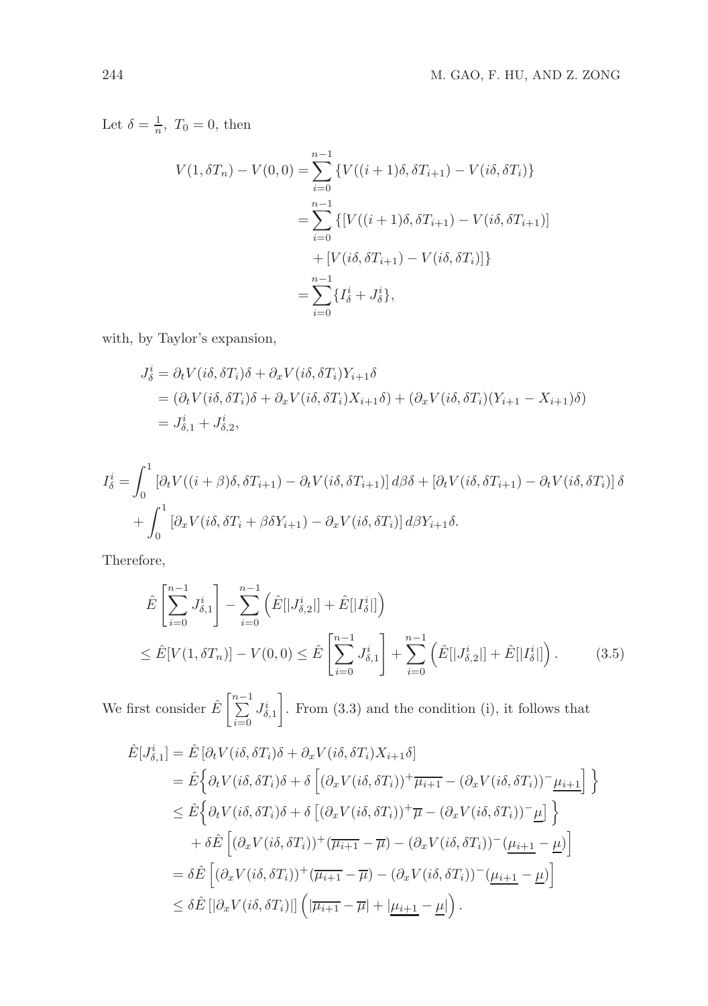Let  $\delta = \frac{1}{n}$ ,  $T_0 = 0$ , then

$$
V(1, \delta T_n) - V(0, 0) = \sum_{i=0}^{n-1} \{ V((i+1)\delta, \delta T_{i+1}) - V(i\delta, \delta T_i) \}
$$
  
= 
$$
\sum_{i=0}^{n-1} \{ [V((i+1)\delta, \delta T_{i+1}) - V(i\delta, \delta T_{i+1})] + [V(i\delta, \delta T_{i+1}) - V(i\delta, \delta T_i)] \}
$$
  
= 
$$
\sum_{i=0}^{n-1} \{ I_{\delta}^i + J_{\delta}^i \},
$$

with, by Taylor's expansion,

$$
J_{\delta}^{i} = \partial_{t} V(i\delta, \delta T_{i})\delta + \partial_{x} V(i\delta, \delta T_{i})Y_{i+1}\delta
$$
  
=  $(\partial_{t} V(i\delta, \delta T_{i})\delta + \partial_{x} V(i\delta, \delta T_{i})X_{i+1}\delta) + (\partial_{x} V(i\delta, \delta T_{i})(Y_{i+1} - X_{i+1})\delta)$   
=  $J_{\delta,1}^{i} + J_{\delta,2}^{i}$ ,

$$
I_{\delta}^{i} = \int_{0}^{1} \left[ \partial_{t} V((i+\beta)\delta, \delta T_{i+1}) - \partial_{t} V(i\delta, \delta T_{i+1}) \right] d\beta \delta + \left[ \partial_{t} V(i\delta, \delta T_{i+1}) - \partial_{t} V(i\delta, \delta T_{i}) \right] \delta
$$

$$
+ \int_{0}^{1} \left[ \partial_{x} V(i\delta, \delta T_{i} + \beta \delta Y_{i+1}) - \partial_{x} V(i\delta, \delta T_{i}) \right] d\beta Y_{i+1} \delta.
$$

Therefore,

$$
\hat{E}\left[\sum_{i=0}^{n-1} J_{\delta,1}^{i}\right] - \sum_{i=0}^{n-1} \left(\hat{E}[|J_{\delta,2}^{i}|] + \hat{E}[|I_{\delta}^{i}|]\right)
$$
\n
$$
\leq \hat{E}[V(1,\delta T_{n})] - V(0,0) \leq \hat{E}\left[\sum_{i=0}^{n-1} J_{\delta,1}^{i}\right] + \sum_{i=0}^{n-1} \left(\hat{E}[|J_{\delta,2}^{i}|] + \hat{E}[|I_{\delta}^{i}|]\right). \tag{3.5}
$$

We first consider  $\hat{E} \left[ \sum_{n=1}^{\infty} \right]$  $i=0$  $J^i_{\delta,1}$ 1 . From (3.3) and the condition (i), it follows that

$$
\hat{E}[J_{\delta,1}^{i}] = \hat{E} [\partial_t V(i\delta, \delta T_i)\delta + \partial_x V(i\delta, \delta T_i)X_{i+1}\delta]
$$
\n
$$
= \hat{E} \Big\{ \partial_t V(i\delta, \delta T_i)\delta + \delta \Big[ (\partial_x V(i\delta, \delta T_i))^{+} \overline{\mu_{i+1}} - (\partial_x V(i\delta, \delta T_i))^{-} \underline{\mu_{i+1}} \Big] \Big\}
$$
\n
$$
\leq \hat{E} \Big\{ \partial_t V(i\delta, \delta T_i)\delta + \delta \Big[ (\partial_x V(i\delta, \delta T_i))^{+} \overline{\mu} - (\partial_x V(i\delta, \delta T_i))^{-} \underline{\mu} \Big] \Big\}
$$
\n
$$
+ \delta \hat{E} \Big[ (\partial_x V(i\delta, \delta T_i))^{+} (\overline{\mu_{i+1}} - \overline{\mu}) - (\partial_x V(i\delta, \delta T_i))^{-} (\underline{\mu_{i+1}} - \underline{\mu}) \Big]
$$
\n
$$
= \delta \hat{E} \Big[ (\partial_x V(i\delta, \delta T_i))^{+} (\overline{\mu_{i+1}} - \overline{\mu}) - (\partial_x V(i\delta, \delta T_i))^{-} (\underline{\mu_{i+1}} - \underline{\mu}) \Big]
$$
\n
$$
\leq \delta \hat{E} [ [\partial_x V(i\delta, \delta T_i)]] \Big( |\overline{\mu_{i+1}} - \overline{\mu}| + |\underline{\mu_{i+1}} - \underline{\mu}| \Big).
$$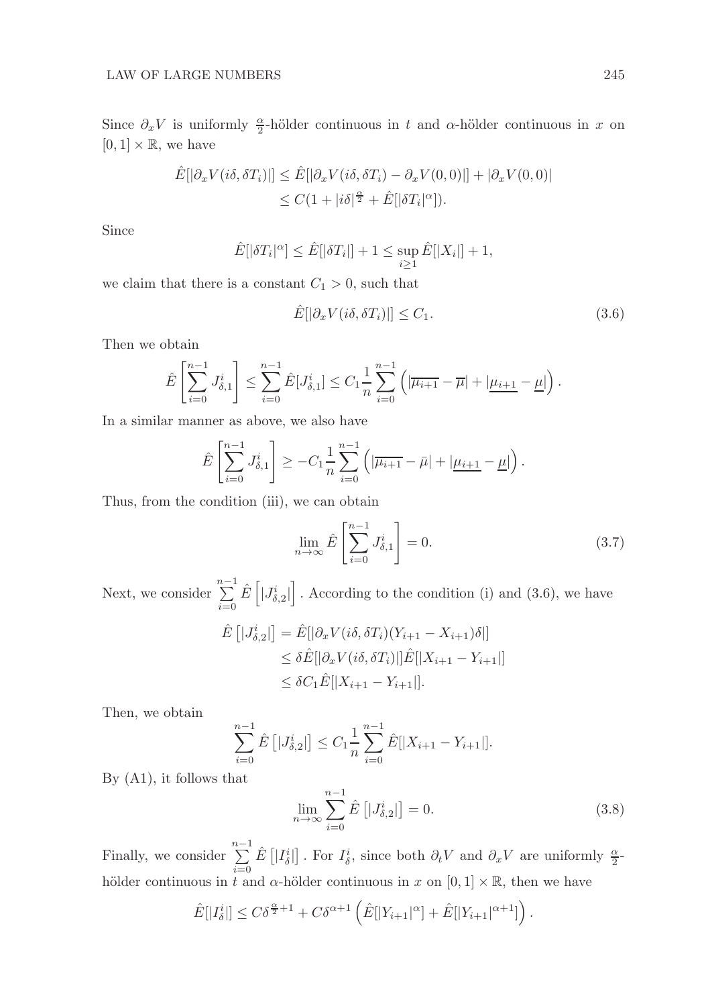Since  $\partial_x V$  is uniformly  $\frac{\alpha}{2}$ -hölder continuous in t and  $\alpha$ -hölder continuous in x on  $[0, 1] \times \mathbb{R}$ , we have

$$
\hat{E}[|\partial_x V(i\delta, \delta T_i)|] \leq \hat{E}[|\partial_x V(i\delta, \delta T_i) - \partial_x V(0, 0)|] + |\partial_x V(0, 0)|
$$
  

$$
\leq C(1 + |i\delta|^{\frac{\alpha}{2}} + \hat{E}[|\delta T_i|^{\alpha}]).
$$

Since

$$
\hat{E}[|\delta T_i|^{\alpha}] \le \hat{E}[|\delta T_i|] + 1 \le \sup_{i \ge 1} \hat{E}[|X_i|] + 1,
$$

we claim that there is a constant  $C_1 > 0$ , such that

$$
\hat{E}[|\partial_x V(i\delta, \delta T_i)|] \le C_1. \tag{3.6}
$$

Then we obtain

$$
\hat{E}\left[\sum_{i=0}^{n-1} J_{\delta,1}^i\right] \leq \sum_{i=0}^{n-1} \hat{E}[J_{\delta,1}^i] \leq C_1 \frac{1}{n} \sum_{i=0}^{n-1} \left( |\overline{\mu_{i+1}} - \overline{\mu}| + |\underline{\mu_{i+1}} - \underline{\mu}| \right).
$$

In a similar manner as above, we also have

$$
\hat{E}\left[\sum_{i=0}^{n-1} J_{\delta,1}^{i}\right] \geq -C_1 \frac{1}{n} \sum_{i=0}^{n-1} \left( \left|\overline{\mu_{i+1}} - \bar{\mu}\right| + \left|\underline{\mu_{i+1}} - \underline{\mu}\right| \right).
$$

Thus, from the condition (iii), we can obtain

$$
\lim_{n \to \infty} \hat{E}\left[\sum_{i=0}^{n-1} J_{\delta,1}^i\right] = 0. \tag{3.7}
$$

Next, we consider  $\sum_{n=1}^{n-1}$  $i=0$  $\hat{E}\left[|J_{\delta,2}^{i}|\right]$  $\big]$ . According to the condition (i) and (3.6), we have

$$
\hat{E}\left[|J_{\delta,2}^{i}|\right] = \hat{E}[|\partial_x V(i\delta, \delta T_i)(Y_{i+1} - X_{i+1})\delta|] \n\leq \delta \hat{E}[|\partial_x V(i\delta, \delta T_i)|]\hat{E}[|X_{i+1} - Y_{i+1}|] \n\leq \delta C_1 \hat{E}[|X_{i+1} - Y_{i+1}|].
$$

Then, we obtain

$$
\sum_{i=0}^{n-1} \hat{E}\left[|J_{\delta,2}^i|\right] \le C_1 \frac{1}{n} \sum_{i=0}^{n-1} \hat{E}[|X_{i+1} - Y_{i+1}|].
$$

By (A1), it follows that

$$
\lim_{n \to \infty} \sum_{i=0}^{n-1} \hat{E} \left[ |J^i_{\delta,2}| \right] = 0.
$$
\n(3.8)

Finally, we consider  $\sum_{n=1}^{n-1}$  $i=0$  $\hat{E}$  [| $I_{\delta}^{i}$ ]. For  $I_{\delta}^{i}$ , since both  $\partial_{t}V$  and  $\partial_{x}V$  are uniformly  $\frac{\alpha}{2}$ hölder continuous in t and  $\alpha$ -hölder continuous in x on [0, 1]  $\times \mathbb{R}$ , then we have

$$
\hat{E}[|I_{\delta}^{i}|] \leq C\delta^{\frac{\alpha}{2}+1} + C\delta^{\alpha+1} \left( \hat{E}[|Y_{i+1}|^{\alpha}] + \hat{E}[|Y_{i+1}|^{\alpha+1}] \right).
$$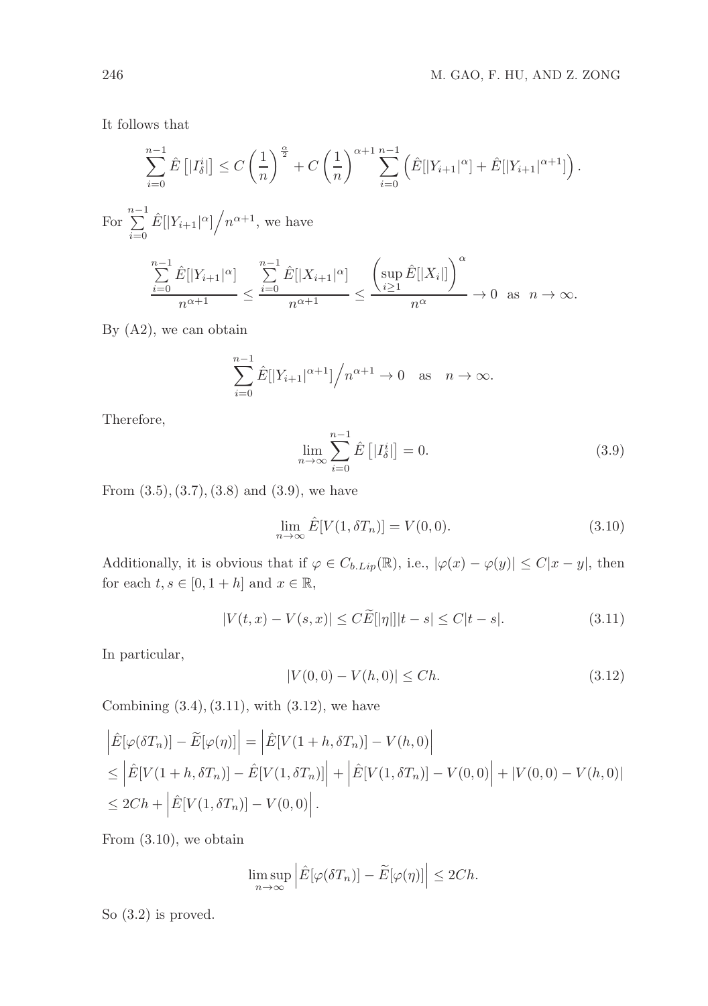It follows that

$$
\sum_{i=0}^{n-1} \hat{E} \left[ |I_{\delta}^{i}| \right] \leq C \left( \frac{1}{n} \right)^{\frac{\alpha}{2}} + C \left( \frac{1}{n} \right)^{\alpha+1} \sum_{i=0}^{n-1} \left( \hat{E} |[Y_{i+1}|^{\alpha}] + \hat{E} |[Y_{i+1}|^{\alpha+1}] \right).
$$

For  $\sum_{n=1}^{n-1}$  $\sum_{i=0}^{n-1} \hat{E}[|Y_{i+1}|^{\alpha}] / n^{\alpha+1}$ , we have

$$
\frac{\sum_{i=0}^{n-1} \hat{E}[|Y_{i+1}|^{\alpha}]}{n^{\alpha+1}} \le \frac{\sum_{i=0}^{n-1} \hat{E}[|X_{i+1}|^{\alpha}]}{n^{\alpha+1}} \le \frac{\left(\sup_{i\ge 1} \hat{E}[|X_i|]\right)^{\alpha}}{n^{\alpha}} \to 0 \text{ as } n \to \infty.
$$

By (A2), we can obtain

$$
\sum_{i=0}^{n-1} \hat{E}[|Y_{i+1}|^{\alpha+1}]/n^{\alpha+1} \to 0 \text{ as } n \to \infty.
$$

Therefore,

$$
\lim_{n \to \infty} \sum_{i=0}^{n-1} \hat{E}\left[|I_{\delta}^{i}| \right] = 0. \tag{3.9}
$$

From  $(3.5), (3.7), (3.8)$  and  $(3.9)$ , we have

$$
\lim_{n \to \infty} \hat{E}[V(1, \delta T_n)] = V(0, 0). \tag{3.10}
$$

Additionally, it is obvious that if  $\varphi \in C_{b.Lip}(\mathbb{R})$ , i.e.,  $|\varphi(x) - \varphi(y)| \leq C|x - y|$ , then for each  $t, s \in [0, 1 + h]$  and  $x \in \mathbb{R}$ ,

$$
|V(t, x) - V(s, x)| \le C \widetilde{E}[|\eta|]|t - s| \le C|t - s|.
$$
 (3.11)

In particular,

$$
|V(0,0) - V(h,0)| \le Ch. \tag{3.12}
$$

Combining  $(3.4), (3.11),$  with  $(3.12),$  we have

$$
\begin{aligned}\n\left| \hat{E}[\varphi(\delta T_n)] - \tilde{E}[\varphi(\eta)] \right| &= \left| \hat{E}[V(1+h, \delta T_n)] - V(h, 0) \right| \\
&\leq \left| \hat{E}[V(1+h, \delta T_n)] - \hat{E}[V(1, \delta T_n)] \right| + \left| \hat{E}[V(1, \delta T_n)] - V(0, 0) \right| + |V(0, 0) - V(h, 0)| \\
&\leq 2Ch + \left| \hat{E}[V(1, \delta T_n)] - V(0, 0) \right|. \n\end{aligned}
$$

From (3.10), we obtain

$$
\limsup_{n \to \infty} \left| \hat{E}[\varphi(\delta T_n)] - \tilde{E}[\varphi(\eta)] \right| \le 2Ch.
$$

So (3.2) is proved.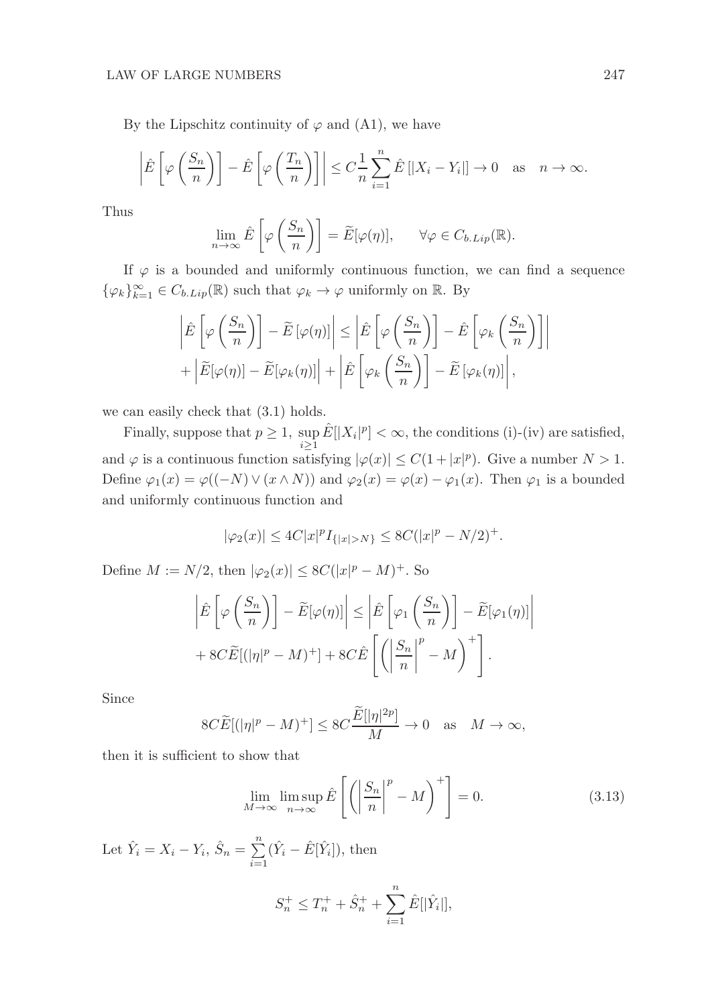By the Lipschitz continuity of  $\varphi$  and (A1), we have

$$
\left|\hat{E}\left[\varphi\left(\frac{S_n}{n}\right)\right] - \hat{E}\left[\varphi\left(\frac{T_n}{n}\right)\right]\right| \le C\frac{1}{n}\sum_{i=1}^n \hat{E}\left[|X_i - Y_i|\right] \to 0 \quad \text{as} \quad n \to \infty.
$$

Thus

$$
\lim_{n \to \infty} \hat{E}\left[\varphi\left(\frac{S_n}{n}\right)\right] = \widetilde{E}[\varphi(\eta)], \qquad \forall \varphi \in C_{b.Lip}(\mathbb{R}).
$$

If  $\varphi$  is a bounded and uniformly continuous function, we can find a sequence  $\{\varphi_k\}_{k=1}^{\infty} \in C_{b.Lip}(\mathbb{R})$  such that  $\varphi_k \to \varphi$  uniformly on  $\mathbb{R}$ . By

$$
\left| \hat{E} \left[ \varphi \left( \frac{S_n}{n} \right) \right] - \tilde{E} \left[ \varphi(\eta) \right] \right| \le \left| \hat{E} \left[ \varphi \left( \frac{S_n}{n} \right) \right] - \hat{E} \left[ \varphi_k \left( \frac{S_n}{n} \right) \right] \right|
$$

$$
+ \left| \tilde{E} [\varphi(\eta)] - \tilde{E} [\varphi_k(\eta)] \right| + \left| \hat{E} \left[ \varphi_k \left( \frac{S_n}{n} \right) \right] - \tilde{E} \left[ \varphi_k(\eta) \right] \right|,
$$

we can easily check that (3.1) holds.

Finally, suppose that  $p \geq 1$ ,  $\sup_{i \geq 1} \hat{E}[|X_i|^p] < \infty$ , the conditions (i)-(iv) are satisfied, and  $\varphi$  is a continuous function satisfying  $|\varphi(x)| \leq C(1+|x|^p)$ . Give a number  $N > 1$ . Define  $\varphi_1(x) = \varphi((-N) \vee (x \wedge N))$  and  $\varphi_2(x) = \varphi(x) - \varphi_1(x)$ . Then  $\varphi_1$  is a bounded and uniformly continuous function and

$$
|\varphi_2(x)| \le 4C|x|^p I_{\{|x|>N\}} \le 8C(|x|^p - N/2)^+.
$$

Define  $M := N/2$ , then  $|\varphi_2(x)| \leq 8C(|x|^p - M)^+$ . So

$$
\left| \hat{E} \left[ \varphi \left( \frac{S_n}{n} \right) \right] - \tilde{E} [\varphi(\eta)] \right| \le \left| \hat{E} \left[ \varphi_1 \left( \frac{S_n}{n} \right) \right] - \tilde{E} [\varphi_1(\eta)] \right|
$$
  
+ 8C $\tilde{E} [(|\eta|^p - M)^+] + 8C \hat{E} \left[ \left( \left| \frac{S_n}{n} \right|^p - M \right)^+ \right].$ 

Since

$$
8C\widetilde{E}[ (|\eta|^p - M)^+] \leq 8C\frac{\widetilde{E}[|\eta|^{2p}]}{M} \to 0 \quad \text{as} \quad M \to \infty,
$$

then it is sufficient to show that

$$
\lim_{M \to \infty} \limsup_{n \to \infty} \hat{E}\left[ \left( \left| \frac{S_n}{n} \right|^p - M \right)^+ \right] = 0. \tag{3.13}
$$

Let  $\hat{Y}_i = X_i - Y_i$ ,  $\hat{S}_n = \sum_{i=1}^n$  $i=1$  $(\hat{Y}_i - \hat{E}[\hat{Y}_i]),$  then  $S_n^+ \leq T_n^+ + \hat{S}_n^+ + \sum_{n=1}^{\infty}$  $\sum_{i=1}\hat{E}[|\hat{Y}_i|],$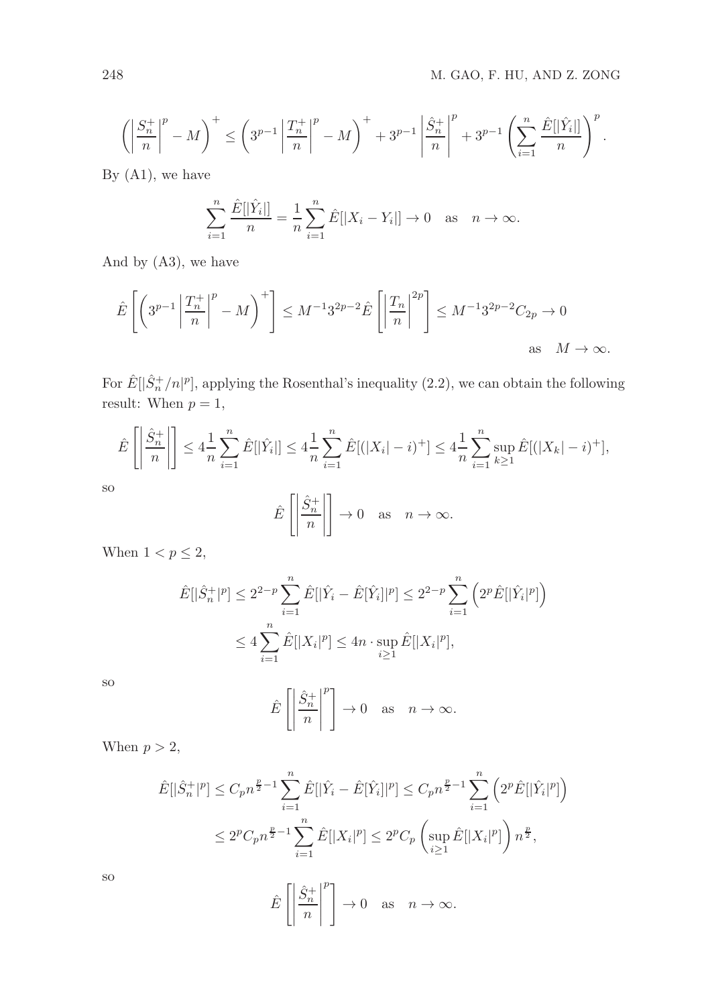$$
\left(\left|\frac{S_n^+}{n}\right|^p - M\right)^+ \le \left(3^{p-1}\left|\frac{T_n^+}{n}\right|^p - M\right)^+ + 3^{p-1}\left|\frac{\hat{S}_n^+}{n}\right|^p + 3^{p-1}\left(\sum_{i=1}^n\frac{\hat{E}[|\hat{Y}_i|]}{n}\right)^p.
$$

By  $(A1)$ , we have

$$
\sum_{i=1}^{n} \frac{\hat{E}[|\hat{Y}_i|]}{n} = \frac{1}{n} \sum_{i=1}^{n} \hat{E}[|X_i - Y_i|] \to 0 \text{ as } n \to \infty.
$$

And by (A3), we have

$$
\hat{E}\left[\left(3^{p-1}\left|\frac{T_n^+}{n}\right|^p - M\right)^+\right] \le M^{-1}3^{2p-2}\hat{E}\left[\left|\frac{T_n}{n}\right|^{2p}\right] \le M^{-1}3^{2p-2}C_{2p} \to 0
$$
\nas\n
$$
M \to \infty.
$$

For  $\hat{E}[\hat{S}_n^+/n]^p$ , applying the Rosenthal's inequality (2.2), we can obtain the following result: When  $p = 1$ ,

$$
\hat{E}\left[\left|\frac{\hat{S}_n^+}{n}\right|\right] \le 4\frac{1}{n}\sum_{i=1}^n \hat{E}[|\hat{Y}_i|] \le 4\frac{1}{n}\sum_{i=1}^n \hat{E}[(|X_i| - i)^+] \le 4\frac{1}{n}\sum_{i=1}^n \sup_{k \ge 1} \hat{E}[(|X_k| - i)^+],
$$

so

$$
\hat{E}\left[\left|\frac{\hat{S}_n^+}{n}\right|\right] \to 0 \quad \text{as} \quad n \to \infty.
$$

When  $1 < p \leq 2$ ,

$$
\hat{E}[|\hat{S}_n^+|^p] \le 2^{2-p} \sum_{i=1}^n \hat{E}[|\hat{Y}_i - \hat{E}[\hat{Y}_i]|^p] \le 2^{2-p} \sum_{i=1}^n \left(2^p \hat{E}[|\hat{Y}_i|^p]\right)
$$
  

$$
\le 4 \sum_{i=1}^n \hat{E}[|X_i|^p] \le 4n \cdot \sup_{i \ge 1} \hat{E}[|X_i|^p],
$$

so

$$
\hat{E}\left[\left|\frac{\hat{S}_n^+}{n}\right|^p\right] \to 0 \quad \text{as} \quad n \to \infty.
$$

When  $p > 2$ ,

$$
\hat{E}[|\hat{S}_n^+|^p] \le C_p n^{\frac{p}{2}-1} \sum_{i=1}^n \hat{E}[|\hat{Y}_i - \hat{E}[\hat{Y}_i]|^p] \le C_p n^{\frac{p}{2}-1} \sum_{i=1}^n \left(2^p \hat{E}[|\hat{Y}_i|^p]\right)
$$
  

$$
\le 2^p C_p n^{\frac{p}{2}-1} \sum_{i=1}^n \hat{E}[|X_i|^p] \le 2^p C_p \left(\sup_{i \ge 1} \hat{E}[|X_i|^p]\right) n^{\frac{p}{2}},
$$

so

$$
\hat{E}\left[\left|\frac{\hat{S}_n^+}{n}\right|^p\right] \to 0 \quad \text{as} \quad n \to \infty.
$$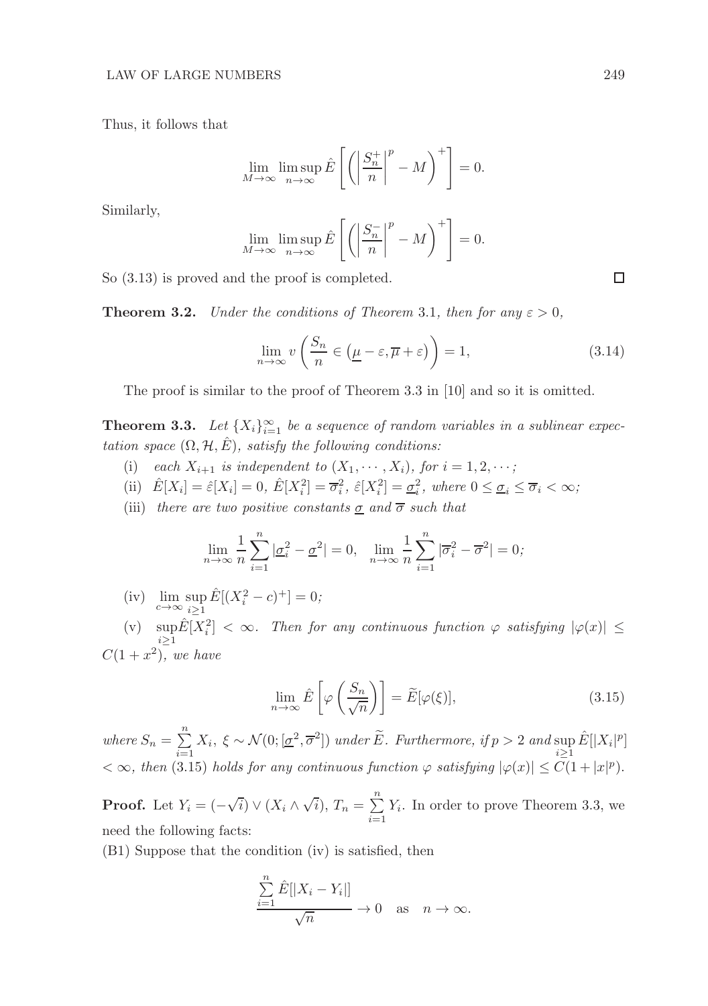Thus, it follows that

$$
\lim_{M \to \infty} \limsup_{n \to \infty} \hat{E}\left[\left(\left|\frac{S_n^+}{n}\right|^p - M\right)^+\right] = 0.
$$

Similarly,

$$
\lim_{M \to \infty} \limsup_{n \to \infty} \hat{E}\left[\left(\left|\frac{S_n^-}{n}\right|^p - M\right)^+\right] = 0.
$$

So (3.13) is proved and the proof is completed.

**Theorem 3.2.** *Under the conditions of Theorem 3.1, then for any*  $\varepsilon > 0$ *,* 

$$
\lim_{n \to \infty} v\left(\frac{S_n}{n} \in \left(\underline{\mu} - \varepsilon, \overline{\mu} + \varepsilon\right)\right) = 1,\tag{3.14}
$$

The proof is similar to the proof of Theorem 3.3 in [10] and so it is omitted.

**Theorem 3.3.** Let  $\{X_i\}_{i=1}^{\infty}$  be a sequence of random variables in a sublinear expec*tation space*  $(\Omega, \mathcal{H}, E)$ *, satisfy the following conditions:* 

- (i) *each*  $X_{i+1}$  *is independent to*  $(X_1, \dots, X_i)$ *, for*  $i = 1, 2, \dots$ *;*
- (ii)  $\hat{E}[X_i] = \hat{\varepsilon}[X_i] = 0, \ \hat{E}[X_i^2] = \overline{\sigma}_i^2, \ \hat{\varepsilon}[X_i^2] = \underline{\sigma}_i^2, \ \text{where } 0 \le \underline{\sigma}_i \le \overline{\sigma}_i < \infty;$
- (iii) *there are two positive constants*  $\sigma$  *and*  $\overline{\sigma}$  *such that*

$$
\lim_{n \to \infty} \frac{1}{n} \sum_{i=1}^{n} |\underline{\sigma}_i^2 - \underline{\sigma}^2| = 0, \quad \lim_{n \to \infty} \frac{1}{n} \sum_{i=1}^{n} |\overline{\sigma}_i^2 - \overline{\sigma}^2| = 0;
$$

(iv)  $\lim_{c \to \infty} \sup_{i \ge 1} \hat{E}[(X_i^2 - c)^+] = 0;$ 

(v)  $\sup_{i\geq 1} \hat{E}[X_i^2] < \infty$ . Then for any continuous function  $\varphi$  satisfying  $|\varphi(x)| \leq$  $C(1+x^2)$ , we have

$$
\lim_{n \to \infty} \hat{E}\left[\varphi\left(\frac{S_n}{\sqrt{n}}\right)\right] = \widetilde{E}[\varphi(\xi)],\tag{3.15}
$$

where  $S_n = \sum_{n=1}^n$  $\sum_{i=1}^{n} X_i$ ,  $\xi \sim \mathcal{N}(0; [\underline{\sigma}^2, \overline{\sigma}^2])$  *under*  $\widetilde{E}$ *. Furthermore, if*  $p > 2$  *and* sup  $\widehat{E}[|X_i|^p]$  $< \infty$ , then (3.15) holds for any continuous function  $\varphi$  satisfying  $|\varphi(x)| \leq C(1+|x|^p)$ .

**Proof.** Let  $Y_i = (-\sqrt{i}) \vee (X_i \wedge \sqrt{i}), T_n = \sum_{i=1}^n$  $\sum_{i=1} Y_i$ . In order to prove Theorem 3.3, we need the following facts:

(B1) Suppose that the condition (iv) is satisfied, then

$$
\frac{\sum_{i=1}^{n} \hat{E}[|X_i - Y_i|]}{\sqrt{n}} \to 0 \quad \text{as} \quad n \to \infty.
$$

 $\Box$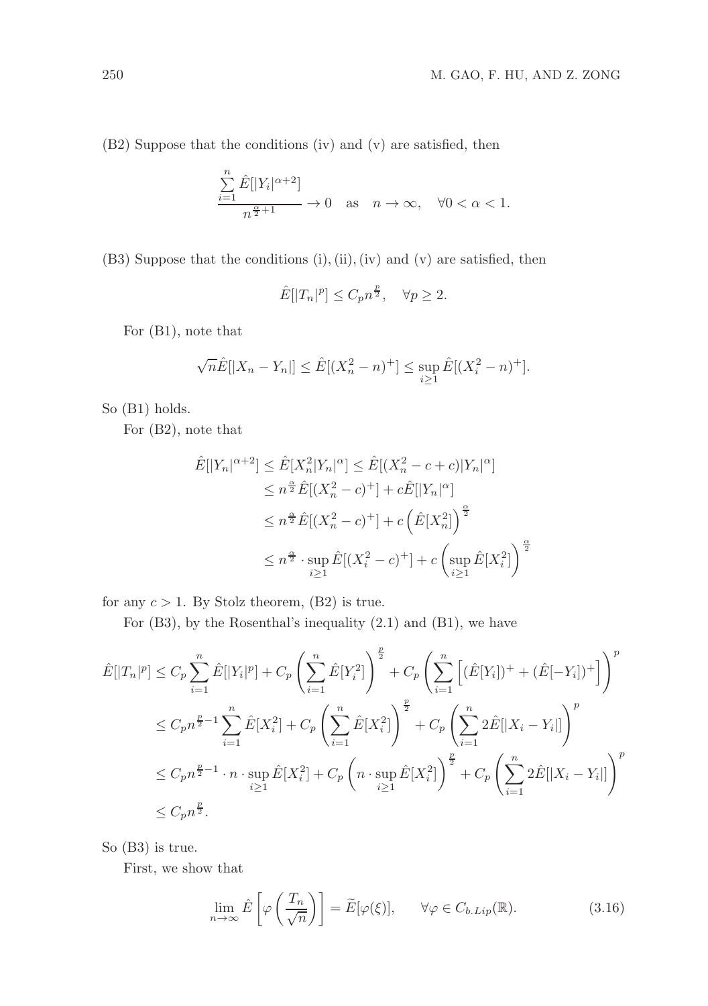(B2) Suppose that the conditions (iv) and (v) are satisfied, then

$$
\frac{\sum_{i=1}^{n} \hat{E}[|Y_i|^{\alpha+2}]}{n^{\frac{\alpha}{2}+1}} \to 0 \quad \text{as} \quad n \to \infty, \quad \forall 0 < \alpha < 1.
$$

(B3) Suppose that the conditions (i),(ii),(iv) and (v) are satisfied, then

$$
\hat{E}[|T_n|^p] \le C_p n^{\frac{p}{2}}, \quad \forall p \ge 2.
$$

For (B1), note that

$$
\sqrt{n}\hat{E}[|X_n - Y_n|] \le \hat{E}[(X_n^2 - n)^+] \le \sup_{i \ge 1} \hat{E}[(X_i^2 - n)^+].
$$

So (B1) holds.

For (B2), note that

$$
\hat{E}[|Y_n|^{\alpha+2}] \le \hat{E}[X_n^2|Y_n|^{\alpha}] \le \hat{E}[(X_n^2 - c + c)|Y_n|^{\alpha}]
$$
  
\n
$$
\le n^{\frac{\alpha}{2}}\hat{E}[(X_n^2 - c)^+] + c\hat{E}[|Y_n|^{\alpha}]
$$
  
\n
$$
\le n^{\frac{\alpha}{2}}\hat{E}[(X_n^2 - c)^+] + c\left(\hat{E}[X_n^2]\right)^{\frac{\alpha}{2}}
$$
  
\n
$$
\le n^{\frac{\alpha}{2}} \cdot \sup_{i \ge 1} \hat{E}[(X_i^2 - c)^+] + c\left(\sup_{i \ge 1} \hat{E}[X_i^2]\right)^{\frac{\alpha}{2}}
$$

for any  $c > 1$ . By Stolz theorem, (B2) is true.

For (B3), by the Rosenthal's inequality (2.1) and (B1), we have

$$
\hat{E}[|T_n|^p] \leq C_p \sum_{i=1}^n \hat{E}[|Y_i|^p] + C_p \left( \sum_{i=1}^n \hat{E}[Y_i^2] \right)^{\frac{p}{2}} + C_p \left( \sum_{i=1}^n \left[ (\hat{E}[Y_i])^+ + (\hat{E}[-Y_i])^+ \right] \right)^p
$$
\n
$$
\leq C_p n^{\frac{p}{2}-1} \sum_{i=1}^n \hat{E}[X_i^2] + C_p \left( \sum_{i=1}^n \hat{E}[X_i^2] \right)^{\frac{p}{2}} + C_p \left( \sum_{i=1}^n 2\hat{E}[|X_i - Y_i|] \right)^p
$$
\n
$$
\leq C_p n^{\frac{p}{2}-1} \cdot n \cdot \sup_{i \geq 1} \hat{E}[X_i^2] + C_p \left( n \cdot \sup_{i \geq 1} \hat{E}[X_i^2] \right)^{\frac{p}{2}} + C_p \left( \sum_{i=1}^n 2\hat{E}[|X_i - Y_i|] \right)^p
$$
\n
$$
\leq C_p n^{\frac{p}{2}}.
$$

So (B3) is true.

First, we show that

$$
\lim_{n \to \infty} \hat{E}\left[\varphi\left(\frac{T_n}{\sqrt{n}}\right)\right] = \widetilde{E}[\varphi(\xi)], \qquad \forall \varphi \in C_{b.Lip}(\mathbb{R}).\tag{3.16}
$$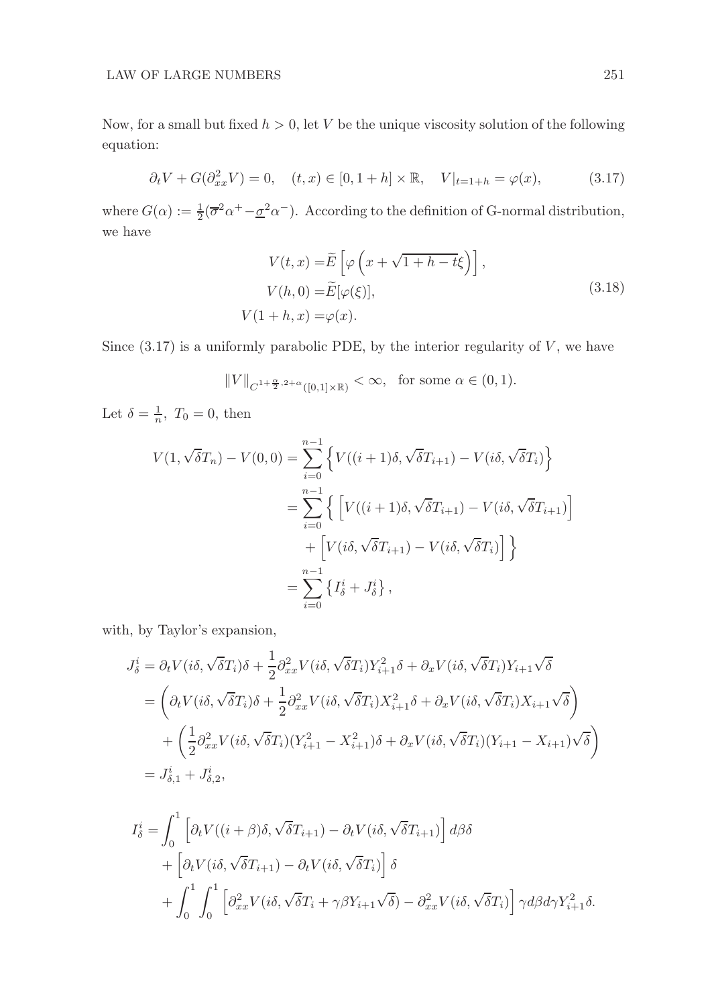## $\begin{tabular}{c} LAW OF LARGE NUMBERS \end{tabular} \begin{tabular}{c} \multicolumn{2}{c}{\textbf{1}} \\ \multicolumn{2}{c}{\textbf{1}} \\ \multicolumn{2}{c}{\textbf{251}} \\ \multicolumn{2}{c}{\textbf{252}} \\ \multicolumn{2}{c}{\textbf{253}} \\ \multicolumn{2}{c}{\textbf{254}} \\ \multicolumn{2}{c}{\textbf{259}} \\ \multicolumn{2}{c}{\textbf{251}} \\ \multicolumn{2}{c}{\textbf{252}} \\ \multicolumn{2}{c}{\textbf{251}} \\ \multicolumn{2}{c}{\textbf{252$

Now, for a small but fixed  $h > 0$ , let V be the unique viscosity solution of the following equation:

$$
\partial_t V + G(\partial_{xx}^2 V) = 0
$$
,  $(t, x) \in [0, 1 + h] \times \mathbb{R}$ ,  $V|_{t=1+h} = \varphi(x)$ , (3.17)

where  $G(\alpha) := \frac{1}{2}(\overline{\sigma}^2 \alpha^+ - \underline{\sigma}^2 \alpha^-)$ . According to the definition of G-normal distribution, we have

$$
V(t,x) = \widetilde{E}\left[\varphi\left(x + \sqrt{1+h-t}\xi\right)\right],
$$
  
\n
$$
V(h,0) = \widetilde{E}[\varphi(\xi)],
$$
  
\n
$$
V(1+h,x) = \varphi(x).
$$
\n(3.18)

Since  $(3.17)$  is a uniformly parabolic PDE, by the interior regularity of  $V$ , we have

$$
||V||_{C^{1+\frac{\alpha}{2},2+\alpha}([0,1]\times\mathbb{R})}<\infty
$$
, for some  $\alpha \in (0,1)$ .

Let  $\delta = \frac{1}{n}$ ,  $T_0 = 0$ , then

$$
V(1, \sqrt{\delta}T_n) - V(0,0) = \sum_{i=0}^{n-1} \left\{ V((i+1)\delta, \sqrt{\delta}T_{i+1}) - V(i\delta, \sqrt{\delta}T_i) \right\}
$$
  

$$
= \sum_{i=0}^{n-1} \left\{ \left[ V((i+1)\delta, \sqrt{\delta}T_{i+1}) - V(i\delta, \sqrt{\delta}T_{i+1}) \right] + \left[ V(i\delta, \sqrt{\delta}T_{i+1}) - V(i\delta, \sqrt{\delta}T_i) \right] \right\}
$$
  

$$
= \sum_{i=0}^{n-1} \left\{ I_0^i + J_0^i \right\},
$$

with, by Taylor's expansion,

$$
J_{\delta}^{i} = \partial_{t}V(i\delta, \sqrt{\delta}T_{i})\delta + \frac{1}{2}\partial_{xx}^{2}V(i\delta, \sqrt{\delta}T_{i})Y_{i+1}^{2}\delta + \partial_{x}V(i\delta, \sqrt{\delta}T_{i})Y_{i+1}\sqrt{\delta}
$$
  
\n
$$
= \left(\partial_{t}V(i\delta, \sqrt{\delta}T_{i})\delta + \frac{1}{2}\partial_{xx}^{2}V(i\delta, \sqrt{\delta}T_{i})X_{i+1}^{2}\delta + \partial_{x}V(i\delta, \sqrt{\delta}T_{i})X_{i+1}\sqrt{\delta}\right)
$$
  
\n
$$
+ \left(\frac{1}{2}\partial_{xx}^{2}V(i\delta, \sqrt{\delta}T_{i})(Y_{i+1}^{2} - X_{i+1}^{2})\delta + \partial_{x}V(i\delta, \sqrt{\delta}T_{i})(Y_{i+1} - X_{i+1})\sqrt{\delta}\right)
$$
  
\n
$$
= J_{\delta,1}^{i} + J_{\delta,2}^{i},
$$

$$
I_{\delta}^{i} = \int_{0}^{1} \left[ \partial_{t} V((i+\beta)\delta, \sqrt{\delta}T_{i+1}) - \partial_{t} V(i\delta, \sqrt{\delta}T_{i+1}) \right] d\beta \delta
$$
  
+  $\left[ \partial_{t} V(i\delta, \sqrt{\delta}T_{i+1}) - \partial_{t} V(i\delta, \sqrt{\delta}T_{i}) \right] \delta$   
+  $\int_{0}^{1} \int_{0}^{1} \left[ \partial_{xx}^{2} V(i\delta, \sqrt{\delta}T_{i} + \gamma \beta Y_{i+1} \sqrt{\delta}) - \partial_{xx}^{2} V(i\delta, \sqrt{\delta}T_{i}) \right] \gamma d\beta d\gamma Y_{i+1}^{2} \delta.$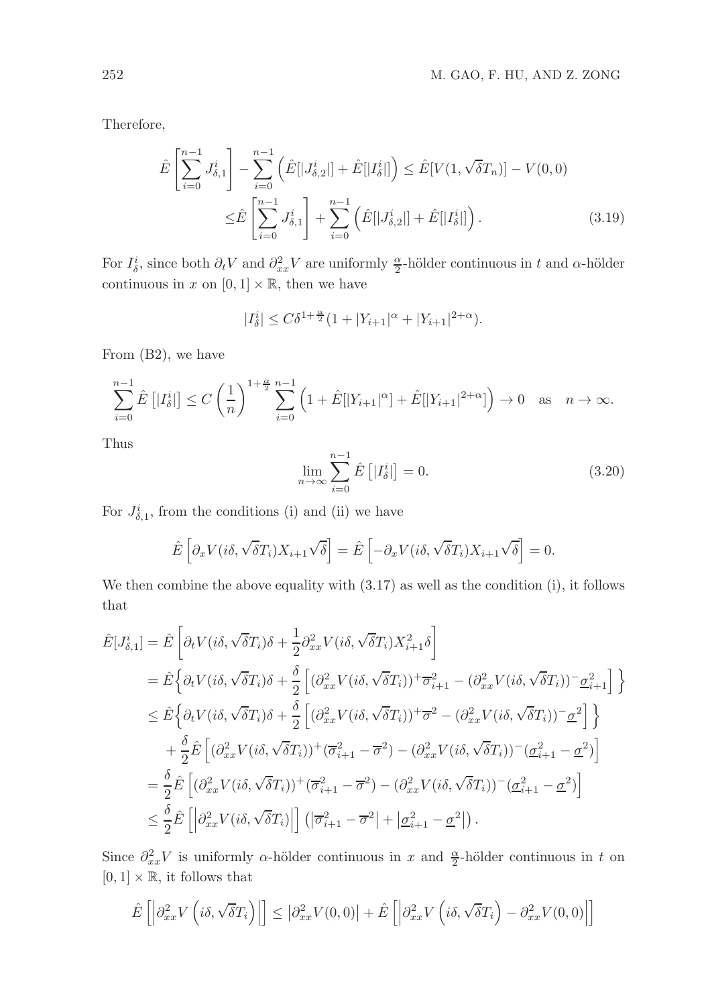Therefore,

$$
\hat{E}\left[\sum_{i=0}^{n-1} J_{\delta,1}^{i}\right] - \sum_{i=0}^{n-1} \left(\hat{E}[|J_{\delta,2}^{i}|] + \hat{E}[|I_{\delta}^{i}|]\right) \le \hat{E}[V(1,\sqrt{\delta}T_{n})] - V(0,0) \n\le \hat{E}\left[\sum_{i=0}^{n-1} J_{\delta,1}^{i}\right] + \sum_{i=0}^{n-1} \left(\hat{E}[|J_{\delta,2}^{i}|] + \hat{E}[|I_{\delta}^{i}|]\right).
$$
\n(3.19)

For  $I^i_\delta$ , since both  $\partial_t V$  and  $\partial_{xx}^2 V$  are uniformly  $\frac{\alpha}{2}$ -hölder continuous in t and  $\alpha$ -hölder continuous in x on  $[0, 1] \times \mathbb{R}$ , then we have

$$
|I_{\delta}^{i}| \leq C\delta^{1+\frac{\alpha}{2}}(1+|Y_{i+1}|^{\alpha}+|Y_{i+1}|^{2+\alpha}).
$$

From (B2), we have

$$
\sum_{i=0}^{n-1} \hat{E} \left[ |I_{\delta}^{i}| \right] \le C \left( \frac{1}{n} \right)^{1+\frac{\alpha}{2}} \sum_{i=0}^{n-1} \left( 1 + \hat{E} [|Y_{i+1}|^{\alpha}] + \hat{E} [|Y_{i+1}|^{2+\alpha}] \right) \to 0 \quad \text{as} \quad n \to \infty.
$$

Thus

$$
\lim_{n \to \infty} \sum_{i=0}^{n-1} \hat{E}\left[|I_{\delta}^{i}| \right] = 0. \tag{3.20}
$$

For  $J_{\delta,1}^i$ , from the conditions (i) and (ii) we have

$$
\hat{E}\left[\partial_x V(i\delta, \sqrt{\delta}T_i)X_{i+1}\sqrt{\delta}\right] = \hat{E}\left[-\partial_x V(i\delta, \sqrt{\delta}T_i)X_{i+1}\sqrt{\delta}\right] = 0.
$$

We then combine the above equality with (3.17) as well as the condition (i), it follows that

$$
\hat{E}[J_{\delta,1}^{i}] = \hat{E}\left[\partial_{t}V(i\delta,\sqrt{\delta}T_{i})\delta + \frac{1}{2}\partial_{xx}^{2}V(i\delta,\sqrt{\delta}T_{i})X_{i+1}^{2}\delta\right]
$$
\n
$$
= \hat{E}\left\{\partial_{t}V(i\delta,\sqrt{\delta}T_{i})\delta + \frac{\delta}{2}\left[(\partial_{xx}^{2}V(i\delta,\sqrt{\delta}T_{i}))^{+}\overline{\sigma}_{i+1}^{2} - (\partial_{xx}^{2}V(i\delta,\sqrt{\delta}T_{i}))^{-}\underline{\sigma}_{i+1}^{2}\right]\right\}
$$
\n
$$
\leq \hat{E}\left\{\partial_{t}V(i\delta,\sqrt{\delta}T_{i})\delta + \frac{\delta}{2}\left[(\partial_{xx}^{2}V(i\delta,\sqrt{\delta}T_{i}))^{+}\overline{\sigma}^{2} - (\partial_{xx}^{2}V(i\delta,\sqrt{\delta}T_{i}))^{-}\underline{\sigma}^{2}\right]\right\}
$$
\n
$$
+ \frac{\delta}{2}\hat{E}\left[(\partial_{xx}^{2}V(i\delta,\sqrt{\delta}T_{i}))^{+}(\overline{\sigma}_{i+1}^{2} - \overline{\sigma}^{2}) - (\partial_{xx}^{2}V(i\delta,\sqrt{\delta}T_{i}))^{-}(\underline{\sigma}_{i+1}^{2} - \underline{\sigma}^{2})\right]
$$
\n
$$
= \frac{\delta}{2}\hat{E}\left[(\partial_{xx}^{2}V(i\delta,\sqrt{\delta}T_{i}))^{+}(\overline{\sigma}_{i+1}^{2} - \overline{\sigma}^{2}) - (\partial_{xx}^{2}V(i\delta,\sqrt{\delta}T_{i}))^{-}(\underline{\sigma}_{i+1}^{2} - \underline{\sigma}^{2})\right]
$$
\n
$$
\leq \frac{\delta}{2}\hat{E}\left[\left|\partial_{xx}^{2}V(i\delta,\sqrt{\delta}T_{i})\right|\right] \left(\left|\overline{\sigma}_{i+1}^{2} - \overline{\sigma}^{2}\right| + \left|\underline{\sigma}_{i+1}^{2} - \underline{\sigma}^{2}\right|\right).
$$

Since  $\partial_{xx}^2 V$  is uniformly  $\alpha$ -hölder continuous in x and  $\frac{\alpha}{2}$ -hölder continuous in t on  $[0, 1] \times \mathbb{R}$ , it follows that

$$
\hat{E}\left[\left|\partial_{xx}^2 V\left(i\delta, \sqrt{\delta}T_i\right)\right|\right] \le \left|\partial_{xx}^2 V(0,0)\right| + \hat{E}\left[\left|\partial_{xx}^2 V\left(i\delta, \sqrt{\delta}T_i\right) - \partial_{xx}^2 V(0,0)\right|\right]
$$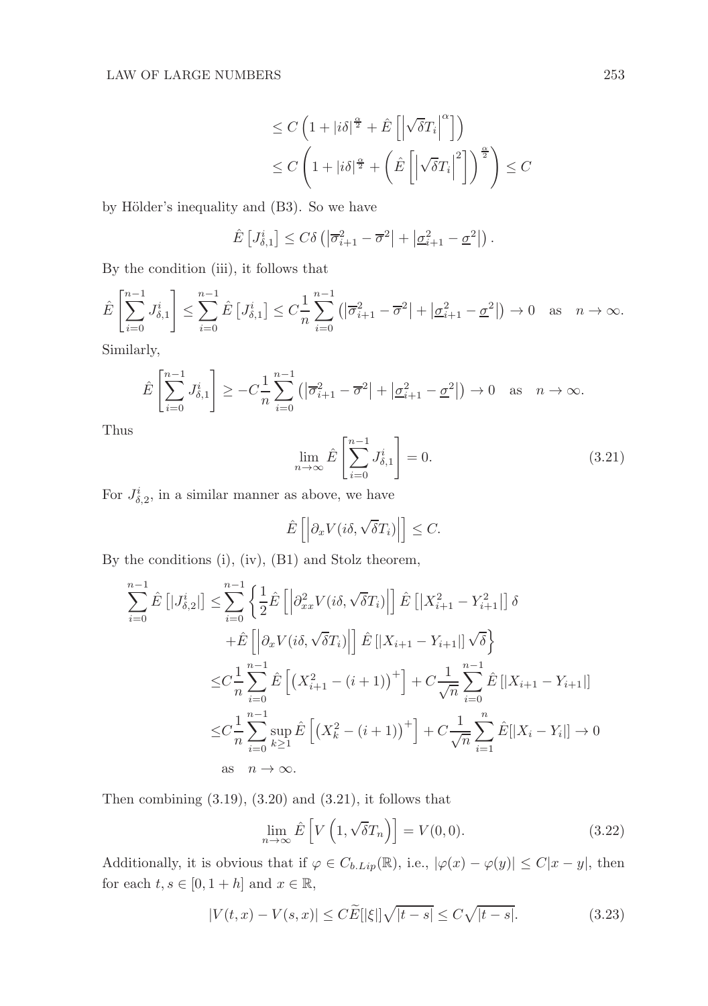$$
\leq C \left( 1 + |i\delta|^{\frac{\alpha}{2}} + \hat{E}\left[ \left| \sqrt{\delta} T_i \right|^\alpha \right] \right)
$$
  

$$
\leq C \left( 1 + |i\delta|^{\frac{\alpha}{2}} + \left( \hat{E}\left[ \left| \sqrt{\delta} T_i \right|^\alpha \right] \right)^{\frac{\alpha}{2}} \right) \leq C
$$

by Hölder's inequality and (B3). So we have

$$
\hat{E}\left[J_{\delta,1}^{i}\right] \leq C\delta\left(|\overline{\sigma}_{i+1}^{2} - \overline{\sigma}^{2}| + |\underline{\sigma}_{i+1}^{2} - \underline{\sigma}^{2}|\right).
$$

By the condition (iii), it follows that

$$
\hat{E}\left[\sum_{i=0}^{n-1} J_{\delta,1}^{i}\right] \leq \sum_{i=0}^{n-1} \hat{E}\left[J_{\delta,1}^{i}\right] \leq C \frac{1}{n} \sum_{i=0}^{n-1} \left(|\overline{\sigma}_{i+1}^{2} - \overline{\sigma}^{2}| + |\underline{\sigma}_{i+1}^{2} - \underline{\sigma}^{2}|\right) \to 0 \text{ as } n \to \infty.
$$

Similarly,

$$
\hat{E}\left[\sum_{i=0}^{n-1} J_{\delta,1}^i\right] \ge -C\frac{1}{n}\sum_{i=0}^{n-1} \left(\left|\overline{\sigma}_{i+1}^2 - \overline{\sigma}^2\right| + \left|\underline{\sigma}_{i+1}^2 - \underline{\sigma}^2\right|\right) \to 0 \quad \text{as} \quad n \to \infty.
$$

Thus

$$
\lim_{n \to \infty} \hat{E}\left[\sum_{i=0}^{n-1} J_{\delta,1}^i\right] = 0.
$$
\n(3.21)

For  $J_{\delta,2}^i$ , in a similar manner as above, we have

$$
\hat{E}\left[\left|\partial_x V(i\delta, \sqrt{\delta}T_i)\right|\right] \leq C.
$$

By the conditions (i), (iv), (B1) and Stolz theorem,

$$
\sum_{i=0}^{n-1} \hat{E} [J_{\delta,2}^{i}] \leq \sum_{i=0}^{n-1} \left\{ \frac{1}{2} \hat{E} \left[ \left| \partial_{xx}^{2} V(i\delta, \sqrt{\delta} T_{i}) \right| \right] \hat{E} \left[ \left| X_{i+1}^{2} - Y_{i+1}^{2} \right| \right] \delta \right\}
$$
  
+
$$
\hat{E} \left[ \left| \partial_{x} V(i\delta, \sqrt{\delta} T_{i}) \right| \right] \hat{E} \left[ \left| X_{i+1} - Y_{i+1} \right| \right] \sqrt{\delta} \right\}
$$
  

$$
\leq C \frac{1}{n} \sum_{i=0}^{n-1} \hat{E} \left[ \left( X_{i+1}^{2} - (i+1) \right)^{+} \right] + C \frac{1}{\sqrt{n}} \sum_{i=0}^{n-1} \hat{E} \left[ \left| X_{i+1} - Y_{i+1} \right| \right]
$$
  

$$
\leq C \frac{1}{n} \sum_{i=0}^{n-1} \sup_{k \geq 1} \hat{E} \left[ \left( X_{k}^{2} - (i+1) \right)^{+} \right] + C \frac{1}{\sqrt{n}} \sum_{i=1}^{n} \hat{E} \left[ \left| X_{i} - Y_{i} \right| \right] \to 0
$$
  
as  $n \to \infty$ .

Then combining  $(3.19)$ ,  $(3.20)$  and  $(3.21)$ , it follows that

$$
\lim_{n \to \infty} \hat{E}\left[V\left(1, \sqrt{\delta}T_n\right)\right] = V(0, 0). \tag{3.22}
$$

Additionally, it is obvious that if  $\varphi \in C_{b.Lip}(\mathbb{R})$ , i.e.,  $|\varphi(x) - \varphi(y)| \leq C|x - y|$ , then for each  $t, s \in [0, 1 + h]$  and  $x \in \mathbb{R}$ ,

$$
|V(t,x) - V(s,x)| \le C\widetilde{E}[\xi] \sqrt{|t-s|} \le C\sqrt{|t-s|}.\tag{3.23}
$$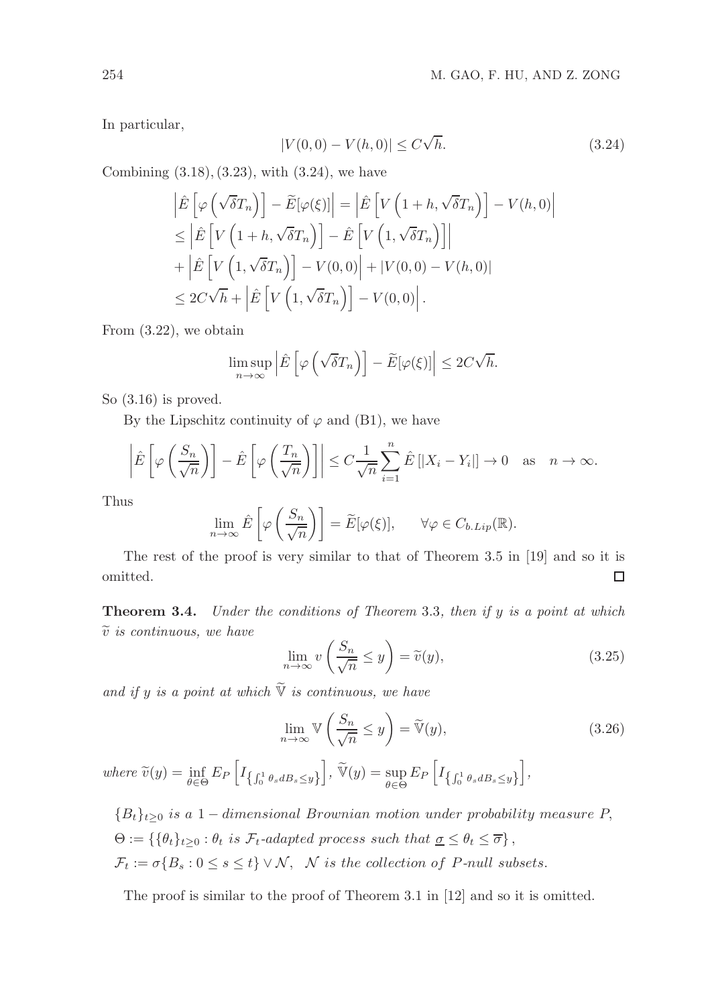In particular,

$$
|V(0,0) - V(h,0)| \le C\sqrt{h}.
$$
\n(3.24)

Combining  $(3.18), (3.23),$  with  $(3.24),$  we have

$$
\begin{split}\n\left| \hat{E} \left[ \varphi \left( \sqrt{\delta} T_n \right) \right] - \tilde{E} [\varphi(\xi)] \right| &= \left| \hat{E} \left[ V \left( 1 + h, \sqrt{\delta} T_n \right) \right] - V(h, 0) \right| \\
&\leq \left| \hat{E} \left[ V \left( 1 + h, \sqrt{\delta} T_n \right) \right] - \hat{E} \left[ V \left( 1, \sqrt{\delta} T_n \right) \right] \right| \\
&+ \left| \hat{E} \left[ V \left( 1, \sqrt{\delta} T_n \right) \right] - V(0, 0) \right| + |V(0, 0) - V(h, 0)| \\
&\leq 2C \sqrt{h} + \left| \hat{E} \left[ V \left( 1, \sqrt{\delta} T_n \right) \right] - V(0, 0) \right].\n\end{split}
$$

From (3.22), we obtain

$$
\limsup_{n \to \infty} \left| \hat{E} \left[ \varphi \left( \sqrt{\delta} T_n \right) \right] - \widetilde{E} [\varphi(\xi)] \right| \leq 2C \sqrt{h}.
$$

So (3.16) is proved.

By the Lipschitz continuity of  $\varphi$  and (B1), we have

$$
\left|\hat{E}\left[\varphi\left(\frac{S_n}{\sqrt{n}}\right)\right] - \hat{E}\left[\varphi\left(\frac{T_n}{\sqrt{n}}\right)\right]\right| \le C\frac{1}{\sqrt{n}}\sum_{i=1}^n\hat{E}\left[|X_i - Y_i|\right] \to 0 \quad \text{as} \quad n \to \infty.
$$

Thus

$$
\lim_{n \to \infty} \hat{E}\left[\varphi\left(\frac{S_n}{\sqrt{n}}\right)\right] = \widetilde{E}[\varphi(\xi)], \qquad \forall \varphi \in C_{b.Lip}(\mathbb{R}).
$$

The rest of the proof is very similar to that of Theorem 3.5 in [19] and so it is omitted.  $\Box$ 

Theorem 3.4. *Under the conditions of Theorem* 3.3*, then if* y *is a point at which*  $\tilde{v}$  *is continuous, we have* 

$$
\lim_{n \to \infty} v\left(\frac{S_n}{\sqrt{n}} \le y\right) = \tilde{v}(y),\tag{3.25}
$$

and if y is a point at which  $\widetilde{\mathbb{V}}$  is continuous, we have

$$
\lim_{n \to \infty} \mathbb{V}\left(\frac{S_n}{\sqrt{n}} \le y\right) = \widetilde{\mathbb{V}}(y),\tag{3.26}
$$

where  $\widetilde{v}(y) = \inf_{\theta \in \Theta} E_P \left[ I_{\left\{\int_0^1 \theta_s dB_s \leq y \right\}} \right]$  $\int$ ,  $\widetilde{\mathbb{V}}(y) = \sup_{\theta \in \Theta} E_P \left[ I_{\left\{\int_0^1 \theta_s dB_s \leq y \right\}} \right]$ i *,*

 ${B_t}_{t\geq0}$  is a 1 – dimensional Brownian motion under probability measure P,  $\Theta := \{ \{\theta_t\}_{t \geq 0} : \theta_t \text{ is } \mathcal{F}_t\text{-adapted process such that } \underline{\sigma} \leq \theta_t \leq \overline{\sigma} \},\$  $\mathcal{F}_t := \sigma\{B_s : 0 \le s \le t\} \vee \mathcal{N}, \quad \mathcal{N} \text{ is the collection of } P\text{-null subsets.}$ 

The proof is similar to the proof of Theorem 3.1 in [12] and so it is omitted.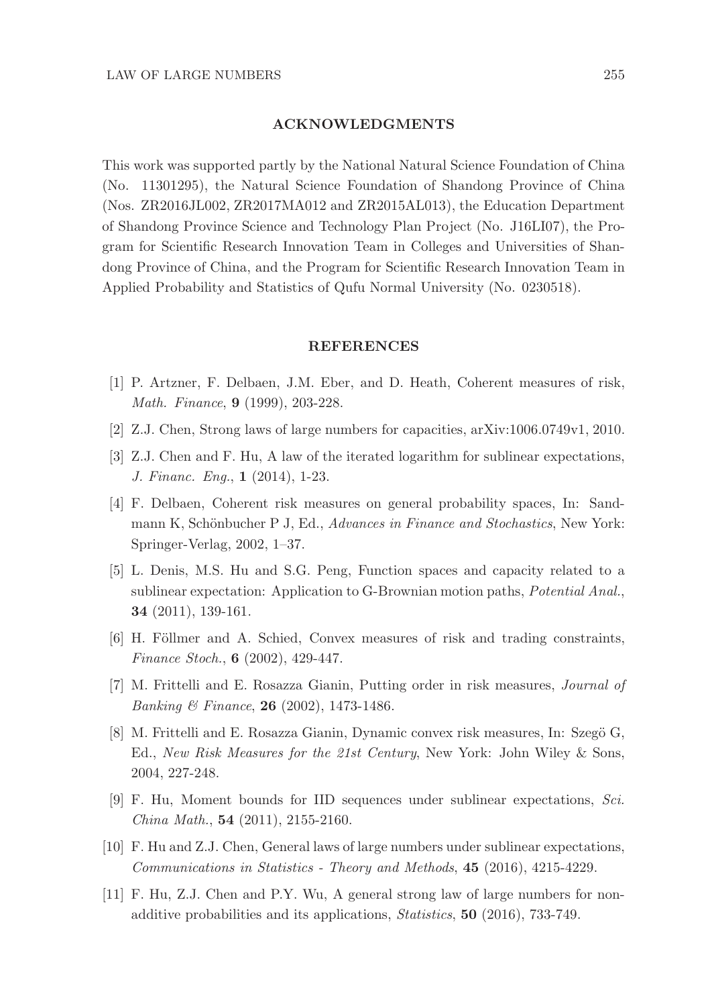#### ACKNOWLEDGMENTS

This work was supported partly by the National Natural Science Foundation of China (No. 11301295), the Natural Science Foundation of Shandong Province of China (Nos. ZR2016JL002, ZR2017MA012 and ZR2015AL013), the Education Department of Shandong Province Science and Technology Plan Project (No. J16LI07), the Program for Scientific Research Innovation Team in Colleges and Universities of Shandong Province of China, and the Program for Scientific Research Innovation Team in Applied Probability and Statistics of Qufu Normal University (No. 0230518).

#### REFERENCES

- [1] P. Artzner, F. Delbaen, J.M. Eber, and D. Heath, Coherent measures of risk, *Math. Finance*, 9 (1999), 203-228.
- [2] Z.J. Chen, Strong laws of large numbers for capacities, arXiv:1006.0749v1, 2010.
- [3] Z.J. Chen and F. Hu, A law of the iterated logarithm for sublinear expectations, *J. Financ. Eng.*, 1 (2014), 1-23.
- [4] F. Delbaen, Coherent risk measures on general probability spaces, In: Sandmann K, Schönbucher P J, Ed., *Advances in Finance and Stochastics*, New York: Springer-Verlag, 2002, 1–37.
- [5] L. Denis, M.S. Hu and S.G. Peng, Function spaces and capacity related to a sublinear expectation: Application to G-Brownian motion paths, *Potential Anal.*, 34 (2011), 139-161.
- [6] H. Föllmer and A. Schied, Convex measures of risk and trading constraints, *Finance Stoch.*, 6 (2002), 429-447.
- [7] M. Frittelli and E. Rosazza Gianin, Putting order in risk measures, *Journal of Banking & Finance*, 26 (2002), 1473-1486.
- [8] M. Frittelli and E. Rosazza Gianin, Dynamic convex risk measures, In: Szegö G, Ed., *New Risk Measures for the 21st Century*, New York: John Wiley & Sons, 2004, 227-248.
- [9] F. Hu, Moment bounds for IID sequences under sublinear expectations, *Sci. China Math.*, 54 (2011), 2155-2160.
- [10] F. Hu and Z.J. Chen, General laws of large numbers under sublinear expectations, *Communications in Statistics - Theory and Methods*, 45 (2016), 4215-4229.
- [11] F. Hu, Z.J. Chen and P.Y. Wu, A general strong law of large numbers for nonadditive probabilities and its applications, *Statistics*, 50 (2016), 733-749.